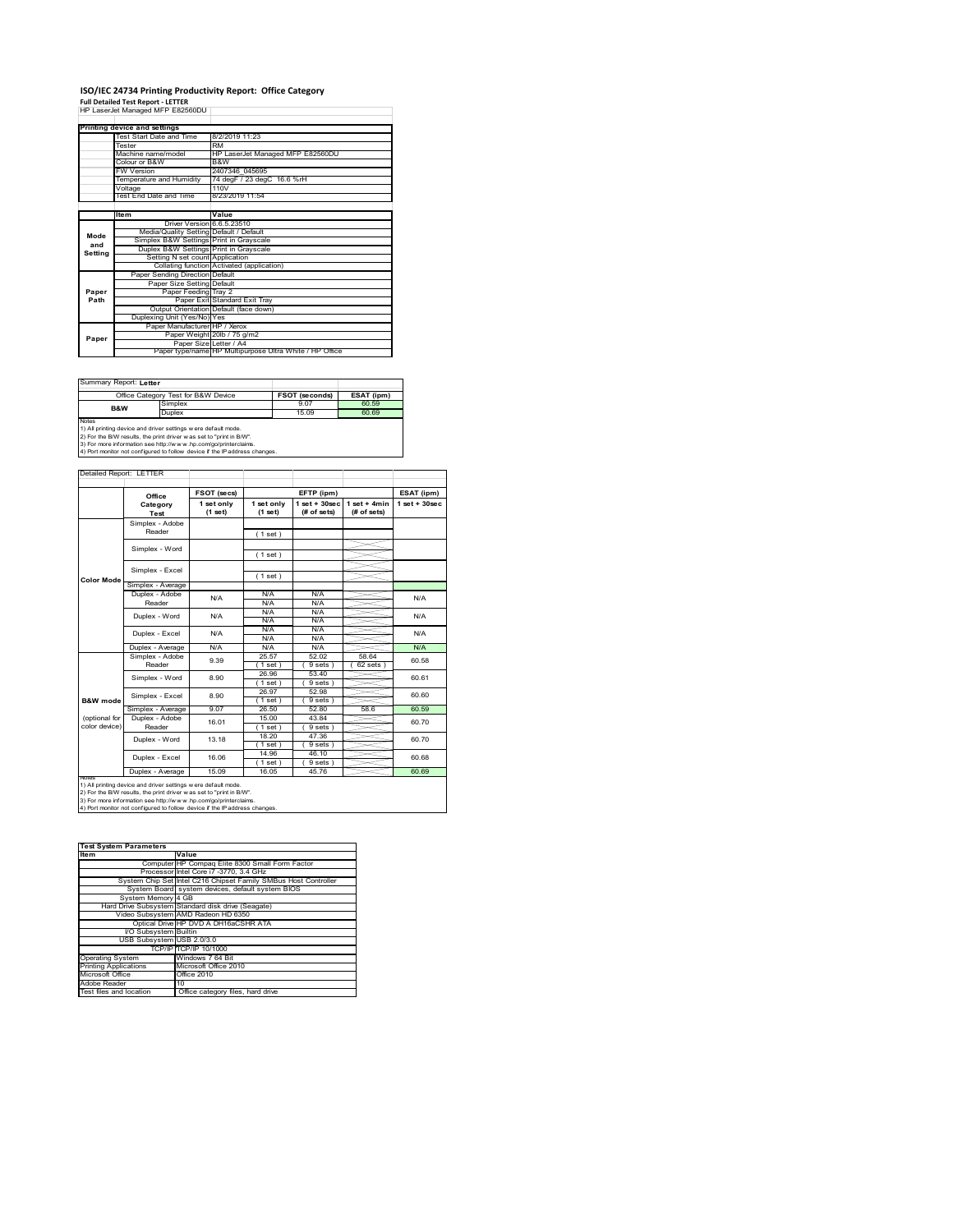### **ISO/IEC 24734 Printing Productivity Report: Office Category<br>Full Detailed Test Report - LETTER<br>HP LaserJet Managed MFP E82560DU |**

|         | HP LaserJet Managed MFP E82560DU        |                                                         |  |  |  |
|---------|-----------------------------------------|---------------------------------------------------------|--|--|--|
|         |                                         |                                                         |  |  |  |
|         | Printing device and settings            |                                                         |  |  |  |
|         | Test Start Date and Time                | 8/2/2019 11:23                                          |  |  |  |
|         | Tester                                  | <b>RM</b>                                               |  |  |  |
|         | Machine name/model                      | HP LaserJet Managed MFP E82560DU                        |  |  |  |
|         | Colour or B&W                           | B&W                                                     |  |  |  |
|         | <b>FW Version</b>                       | 2407346 045695                                          |  |  |  |
|         | Temperature and Humidity                | 74 degF / 23 degC 16.6 %rH                              |  |  |  |
|         | Voltage                                 | 110V                                                    |  |  |  |
|         | Test End Date and Time                  | 8/23/2019 11:54                                         |  |  |  |
|         |                                         |                                                         |  |  |  |
|         | <b>Item</b>                             | Value                                                   |  |  |  |
|         | Driver Version 6.6.5.23510              |                                                         |  |  |  |
| Mode    | Media/Quality Setting Default / Default |                                                         |  |  |  |
| and     | Simplex B&W Settings Print in Grayscale |                                                         |  |  |  |
| Setting | Duplex B&W Settings Print in Grayscale  |                                                         |  |  |  |
|         | Setting N set count Application         |                                                         |  |  |  |
|         |                                         | Collating function Activated (application)              |  |  |  |
|         | Paper Sending Direction Default         |                                                         |  |  |  |
|         | Paper Size Setting Default              |                                                         |  |  |  |
| Paper   | Paper Feeding Tray 2                    |                                                         |  |  |  |
| Path    |                                         | Paper Exit Standard Exit Tray                           |  |  |  |
|         |                                         | Output Orientation Default (face down)                  |  |  |  |
|         | Duplexing Unit (Yes/No) Yes             |                                                         |  |  |  |
|         | Paper Manufacturer HP / Xerox           |                                                         |  |  |  |
| Paper   |                                         | Paper Weight 20lb / 75 g/m2                             |  |  |  |
|         | Paper Size Letter / A4                  |                                                         |  |  |  |
|         |                                         | Paper type/name HP Multipurpose Ultra White / HP Office |  |  |  |

Summary Report: **Letter**

|                                                                | Office Category Test for B&W Device                               | <b>FSOT (seconds)</b> | ESAT (ipm) |  |  |
|----------------------------------------------------------------|-------------------------------------------------------------------|-----------------------|------------|--|--|
| B&W                                                            | Simplex                                                           | 9.07                  | 60.59      |  |  |
|                                                                | Duplex                                                            | 15.09                 | 60.69      |  |  |
| Notes                                                          |                                                                   |                       |            |  |  |
| 1) All printing device and driver settings w ere default mode. |                                                                   |                       |            |  |  |
|                                                                | 2) For the RAM results the print driver was set to "print in RAM" |                       |            |  |  |

2) For the B/W results, the print driver w as set to "print in B/W".<br>3) For more information see http://w w w .hp.com/go/printerclaims.<br>4) Port monitor not configured to follow device if the IP address changes.

Detailed Report: LETTER  $\overline{\phantom{a}}$ ╅ ÷

|                   | Office            | FSOT (secs)             |                       | EFTP (ipm)                       |                               | ESAT (ipm)        |
|-------------------|-------------------|-------------------------|-----------------------|----------------------------------|-------------------------------|-------------------|
|                   | Category<br>Test  | 1 set only<br>$(1$ set) | 1 set only<br>(1 set) | $1$ set $+30$ sec<br>(# of sets) | $1$ set + 4min<br>(# of sets) | $1$ set $+30$ sec |
|                   | Simplex - Adobe   |                         |                       |                                  |                               |                   |
|                   | Reader            |                         | (1 set)               |                                  |                               |                   |
|                   | Simplex - Word    |                         |                       |                                  |                               |                   |
|                   |                   |                         | (1 set)               |                                  |                               |                   |
|                   | Simplex - Excel   |                         |                       |                                  |                               |                   |
| <b>Color Mode</b> |                   |                         | (1 set)               |                                  |                               |                   |
|                   | Simplex - Average |                         |                       |                                  |                               |                   |
|                   | Duplex - Adobe    | N/A                     | N/A                   | N/A                              |                               | N/A               |
|                   | Reader            |                         | N/A                   | N/A                              |                               |                   |
|                   | Duplex - Word     | N/A                     | N/A                   | N/A                              |                               | N/A<br>N/A        |
|                   |                   |                         | N/A                   | N/A                              |                               |                   |
|                   | Duplex - Excel    | N/A                     | N/A                   | N/A                              |                               |                   |
|                   |                   |                         | N/A                   | N/A                              |                               |                   |
|                   | Duplex - Average  | N/A                     | N/A                   | N/A                              |                               | N/A               |
|                   | Simplex - Adobe   | 9.39                    | 25.57                 | 52.02                            | 58.64                         | 60.58             |
|                   | Reader            |                         | 1 set)                | 9 sets)                          | $62$ sets $)$                 |                   |
|                   | Simplex - Word    | 8.90                    | 26.96                 | 53.40                            |                               | 60.61             |
|                   |                   |                         | $1$ set)              | 9 sets)                          |                               |                   |
|                   | Simplex - Excel   | 8.90                    | 26.97                 | 52.98                            |                               | 60.60             |
| B&W mode          |                   |                         | $1$ set)              | 9 sets)                          |                               |                   |
|                   | Simplex - Average | 9.07                    | 26.50                 | 52.80                            | 58.6                          | 60.59             |
| (optional for     | Duplex - Adobe    | 16.01                   | 15.00                 | 43.84                            |                               | 60.70             |
| color device)     | Reader            |                         | $1$ set)              | 9 sets)                          |                               |                   |
|                   | Duplex - Word     | 13 18                   | 18.20                 | 47.36                            |                               | 60.70             |
|                   |                   |                         | (1 set)               | 9 sets 1                         |                               |                   |
|                   | Duplex - Excel    | 16.06                   | 14.96                 | 46.10                            |                               | 60.68             |
|                   |                   |                         | (1 set)               | 9 sets)                          |                               |                   |
| <b>NOIRS</b>      | Duplex - Average  | 15.09                   | 16.05                 | 45.76                            |                               | 60.69             |

1) All printing device and driver settings were default mode.<br>2) For the B/W results, the print driver was set to "print in B/W".<br>3) For more information see http://www.hp.com/go/printerclaims.<br>4) Port monitor not configur

| <b>Test System Parameters</b> |                                                                 |  |  |  |
|-------------------------------|-----------------------------------------------------------------|--|--|--|
| <b>Item</b>                   | Value                                                           |  |  |  |
|                               | Computer HP Compag Elite 8300 Small Form Factor                 |  |  |  |
|                               | Processor Intel Core i7 -3770, 3.4 GHz                          |  |  |  |
|                               | System Chip Set Intel C216 Chipset Family SMBus Host Controller |  |  |  |
|                               | System Board system devices, default system BIOS                |  |  |  |
| System Memory 4 GB            |                                                                 |  |  |  |
|                               | Hard Drive Subsystem Standard disk drive (Seagate)              |  |  |  |
|                               | Video Subsystem AMD Radeon HD 6350                              |  |  |  |
|                               | Optical Drive HP DVD A DH16aCSHR ATA                            |  |  |  |
| VO Subsystem Builtin          |                                                                 |  |  |  |
| USB Subsystem USB 2.0/3.0     |                                                                 |  |  |  |
|                               | TCP/IP TCP/IP 10/1000                                           |  |  |  |
| <b>Operating System</b>       | Windows 7 64 Bit                                                |  |  |  |
| <b>Printing Applications</b>  | Microsoft Office 2010                                           |  |  |  |
| Microsoft Office              | Office 2010                                                     |  |  |  |
| Adobe Reader                  | 10                                                              |  |  |  |
| Test files and location       | Office category files, hard drive                               |  |  |  |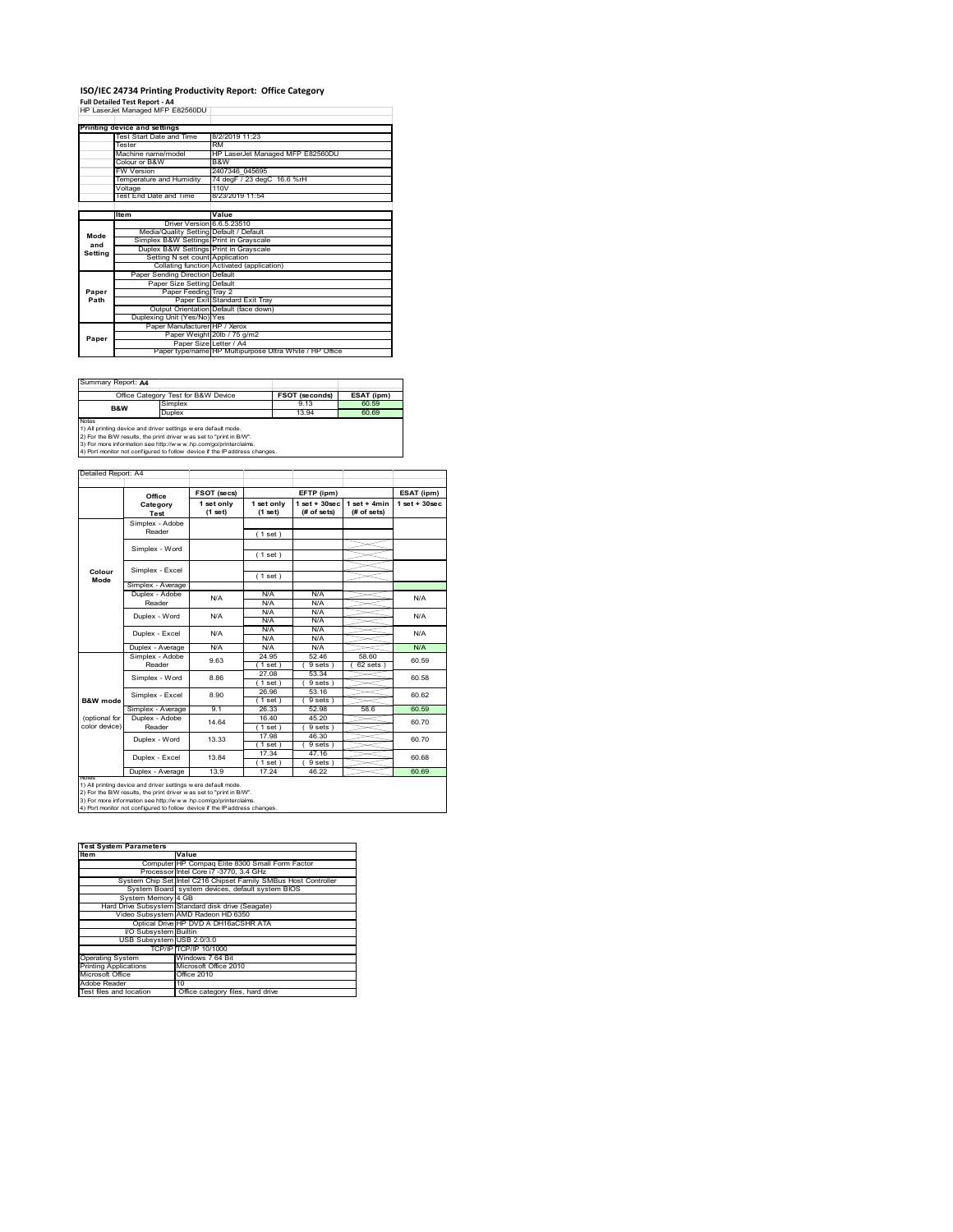### **ISO/IEC 24734 Printing Productivity Report: Office Category**

**Full Detailed Test Report ‐ A4** HP LaserJet Managed MFP E82560DU

|         | HP LaserJet Managed MFP E82560DU        |                                                         |  |  |  |
|---------|-----------------------------------------|---------------------------------------------------------|--|--|--|
|         |                                         |                                                         |  |  |  |
|         | Printing device and settings            |                                                         |  |  |  |
|         | Test Start Date and Time                | 8/2/2019 11:23                                          |  |  |  |
|         | Tester                                  | <b>RM</b>                                               |  |  |  |
|         | Machine name/model                      | HP LaserJet Managed MFP E82560DU                        |  |  |  |
|         | Colour or B&W                           | B&W                                                     |  |  |  |
|         | <b>FW Version</b>                       | 2407346 045695                                          |  |  |  |
|         | Temperature and Humidity                | 74 degF / 23 degC 16.6 %rH                              |  |  |  |
|         | Voltage                                 | 110V                                                    |  |  |  |
|         | Test End Date and Time                  | 8/23/2019 11:54                                         |  |  |  |
|         |                                         |                                                         |  |  |  |
|         | <b>Item</b>                             | Value                                                   |  |  |  |
|         | Driver Version 6.6.5.23510              |                                                         |  |  |  |
| Mode    | Media/Quality Setting Default / Default |                                                         |  |  |  |
| and     | Simplex B&W Settings Print in Grayscale |                                                         |  |  |  |
| Setting | Duplex B&W Settings Print in Grayscale  |                                                         |  |  |  |
|         | Setting N set count Application         |                                                         |  |  |  |
|         |                                         | Collating function Activated (application)              |  |  |  |
|         | Paper Sending Direction Default         |                                                         |  |  |  |
|         | Paper Size Setting Default              |                                                         |  |  |  |
| Paper   | Paper Feeding Tray 2                    |                                                         |  |  |  |
| Path    |                                         | Paper Exit Standard Exit Tray                           |  |  |  |
|         |                                         | Output Orientation Default (face down)                  |  |  |  |
|         | Duplexing Unit (Yes/No) Yes             |                                                         |  |  |  |
|         | Paper Manufacturer HP / Xerox           |                                                         |  |  |  |
| Paper   |                                         | Paper Weight 20lb / 75 g/m2                             |  |  |  |
|         | Paper Size Letter / A4                  |                                                         |  |  |  |
|         |                                         | Paper type/name HP Multipurpose Ultra White / HP Office |  |  |  |

Summary Report: **A4**

|                                                                | Office Category Test for B&W Device                          | <b>FSOT (seconds)</b> | ESAT (ipm) |  |  |
|----------------------------------------------------------------|--------------------------------------------------------------|-----------------------|------------|--|--|
| B&W                                                            | Simplex                                                      | 9.13                  | 60.59      |  |  |
|                                                                | Duplex                                                       | 13.94                 | 60.69      |  |  |
| Notes                                                          |                                                              |                       |            |  |  |
| 1) All printing device and driver settings w ere default mode. |                                                              |                       |            |  |  |
|                                                                | To the first contract of the contract of the contract passed |                       |            |  |  |

1) All printing device and driver settings were default mode.<br>2) For the B/W results, the print driver was set to "print in B/W".<br>3) For more information see http://www.hp.com/go/printerclaims.<br>4) Port monitor not configur

|                                | Office                   | FSOT (secs)           |                       | EFTP (ipm)                      |                                | ESAT (ipm)         |
|--------------------------------|--------------------------|-----------------------|-----------------------|---------------------------------|--------------------------------|--------------------|
|                                | Category<br>Test         | 1 set only<br>(1 set) | 1 set only<br>(1 set) | $1 set + 30 sec$<br>(# of sets) | $1 set + 4 min$<br>(# of sets) | $1$ set + $30$ sec |
|                                | Simplex - Adobe          |                       |                       |                                 |                                |                    |
|                                | Reader                   |                       | (1 set)               |                                 |                                |                    |
|                                | Simplex - Word           |                       |                       |                                 |                                |                    |
|                                |                          |                       | (1 set)               |                                 |                                |                    |
|                                | Simplex - Excel          |                       |                       |                                 |                                |                    |
| Colour<br>Mode                 |                          |                       | (1 set)               |                                 |                                |                    |
|                                | Simplex - Average        |                       |                       |                                 |                                |                    |
|                                | Duplex - Adobe           | N/A                   | N/A                   | N/A                             |                                | N/A                |
|                                | Reader                   |                       | N/A                   | N/A                             |                                |                    |
|                                | Duplex - Word            | N/A                   | N/A                   | N/A                             |                                | N/A                |
|                                |                          |                       | N/A                   | N/A                             |                                |                    |
|                                | Duplex - Excel           | N/A                   | N/A                   | N/A                             |                                | N/A                |
|                                |                          |                       | N/A                   | N/A                             |                                |                    |
|                                | Duplex - Average         | N/A                   | N/A                   | N/A                             |                                | N/A                |
|                                | Simplex - Adobe          | 9.63                  | 24.95                 | 52.46                           | 58.60                          | 60.59              |
|                                | Reader                   |                       | (1 set)               | 9 sets                          | 62 sets                        |                    |
|                                | Simplex - Word           | 8.86                  | 27.08                 | 53.34                           |                                | 60.58              |
|                                |                          |                       | (1 set)               | 9 sets                          |                                |                    |
|                                | Simplex - Excel          | 8.90                  | 26.96                 | 53.16                           |                                | 60.62              |
| <b>B&amp;W</b> mode            |                          |                       | 1 set                 | 9 sets                          |                                |                    |
|                                | Simplex - Average        | 91                    | 26.33                 | 52.98                           | 58.6                           | 60.59              |
| (optional for<br>color device) | Duplex - Adobe<br>Reader | 14 64                 | 16 40<br>$1$ set)     | 45 20<br>9 sets)                |                                | 60.70              |
|                                |                          |                       | 17.98                 | 46.30                           |                                |                    |
|                                | Duplex - Word            | 13.33                 | (1 set)               | 9 sets                          |                                | 60.70              |
|                                |                          |                       | 17.34                 | 47.16                           |                                |                    |
|                                | Duplex - Excel           | 13 84                 | $1$ set)              | 9 sets                          |                                | 60.68              |
|                                | Duplex - Average         | 13.9                  | 17.24                 | 46.22                           |                                | 60.69              |
| <b>NOtes</b>                   |                          |                       |                       |                                 |                                |                    |

| <b>Test System Parameters</b> |                                                                 |  |  |
|-------------------------------|-----------------------------------------------------------------|--|--|
| <b>Item</b>                   | Value                                                           |  |  |
|                               | Computer HP Compaq Elite 8300 Small Form Factor                 |  |  |
|                               | Processor Intel Core i7 -3770, 3.4 GHz                          |  |  |
|                               | System Chip Set Intel C216 Chipset Family SMBus Host Controller |  |  |
|                               | System Board system devices, default system BIOS                |  |  |
| System Memory 4 GB            |                                                                 |  |  |
|                               | Hard Drive Subsystem Standard disk drive (Seagate)              |  |  |
|                               | Video Subsystem AMD Radeon HD 6350                              |  |  |
|                               | Optical Drive HP DVD A DH16aCSHR ATA                            |  |  |
| I/O Subsystem Builtin         |                                                                 |  |  |
| USB Subsystem USB 2.0/3.0     |                                                                 |  |  |
|                               | TCP/IP TCP/IP 10/1000                                           |  |  |
| <b>Operating System</b>       | Windows 7 64 Bit                                                |  |  |
| <b>Printing Applications</b>  | Microsoft Office 2010                                           |  |  |
| Microsoft Office              | Office 2010                                                     |  |  |
| Adobe Reader                  | 10                                                              |  |  |
| Test files and location       | Office category files, hard drive                               |  |  |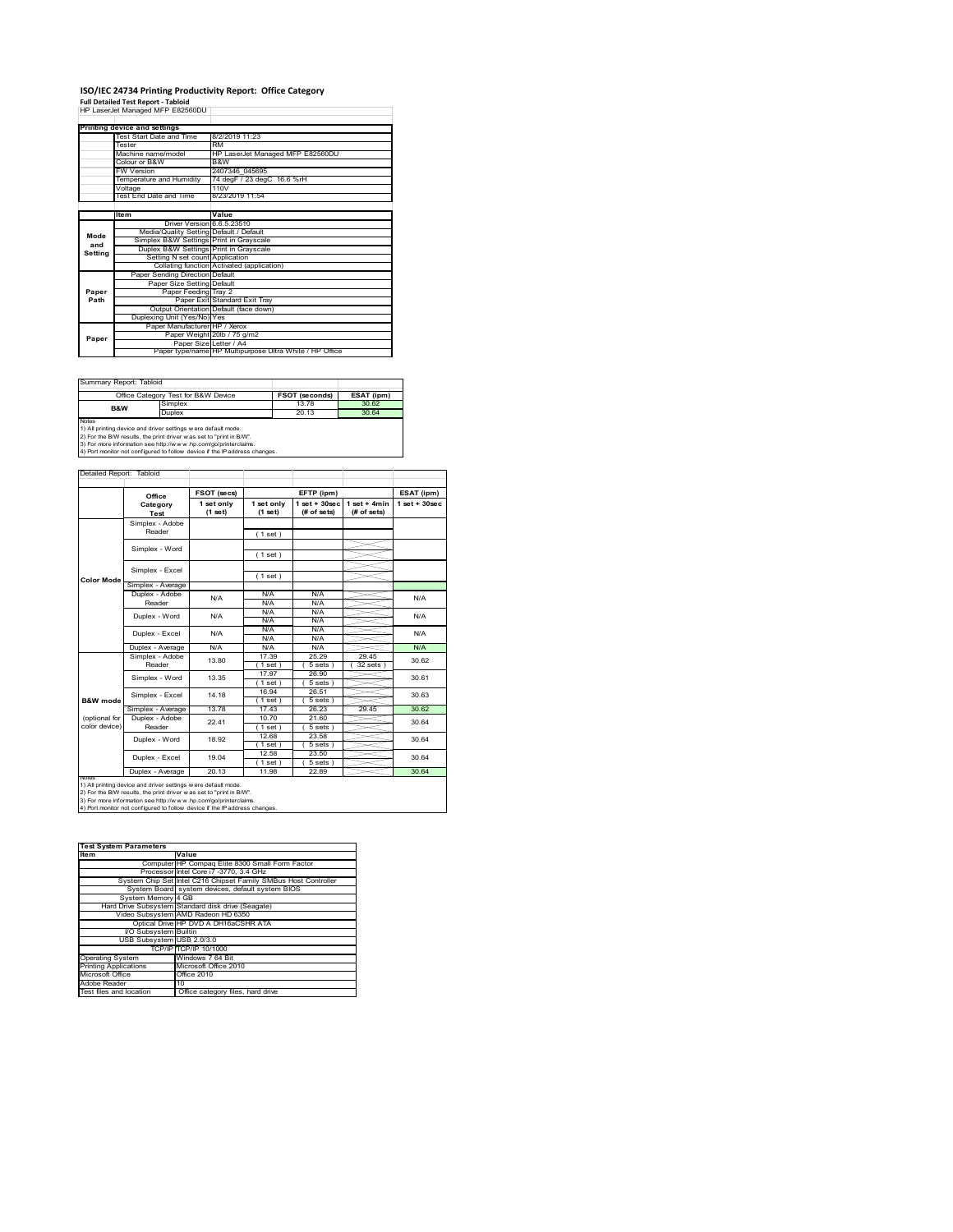### **ISO/IEC 24734 Printing Productivity Report: Office Category<br>Full Detailed Test Report - Tabloid<br>HP LaserJet Managed MFP E82560DU |**

|         | . an betaned Test Report - Tabloid      |                                                         |  |
|---------|-----------------------------------------|---------------------------------------------------------|--|
|         | HP LaserJet Managed MFP E82560DU        |                                                         |  |
|         |                                         |                                                         |  |
|         | Printing device and settings            |                                                         |  |
|         | Test Start Date and Time                | 8/2/2019 11:23                                          |  |
|         | Tester                                  | <b>RM</b>                                               |  |
|         | Machine name/model                      | HP LaserJet Managed MFP E82560DU                        |  |
|         | Colour or B&W                           | B&W                                                     |  |
|         | <b>FW Version</b>                       | 2407346 045695                                          |  |
|         | Temperature and Humidity                | 74 degF / 23 degC 16.6 %rH                              |  |
|         | Voltage                                 | 110V                                                    |  |
|         | Test End Date and Time                  | 8/23/2019 11:54                                         |  |
|         |                                         |                                                         |  |
|         | Item                                    | Value                                                   |  |
| Mode    | Driver Version 6.6.5.23510              |                                                         |  |
|         | Media/Quality Setting Default / Default |                                                         |  |
| and     | Simplex B&W Settings Print in Gravscale |                                                         |  |
| Setting | Duplex B&W Settings Print in Grayscale  |                                                         |  |
|         | Setting N set count Application         |                                                         |  |
|         |                                         | Collating function Activated (application)              |  |
|         | Paper Sending Direction Default         |                                                         |  |
|         | Paper Size Setting Default              |                                                         |  |
| Paper   | Paper Feeding Tray 2                    |                                                         |  |
| Path    |                                         | Paper Exit Standard Exit Tray                           |  |
|         |                                         | Output Orientation Default (face down)                  |  |
|         | Duplexing Unit (Yes/No) Yes             |                                                         |  |
|         | Paper Manufacturer HP / Xerox           |                                                         |  |
| Paper   |                                         | Paper Weight 20lb / 75 g/m2                             |  |
|         | Paper Size Letter / A4                  |                                                         |  |
|         |                                         | Paper type/name HP Multipurpose Ultra White / HP Office |  |

Summary Report: Tabloid

|                                                                     | Office Category Test for B&W Device | <b>FSOT (seconds)</b> | ESAT (ipm) |  |  |
|---------------------------------------------------------------------|-------------------------------------|-----------------------|------------|--|--|
| B&W                                                                 | Simplex                             | 13.78                 | 30.62      |  |  |
|                                                                     | Duplex                              | 20.13                 | 30.64      |  |  |
| <b>Notes</b>                                                        |                                     |                       |            |  |  |
| 1) All printing device and driver settings w ere default mode.      |                                     |                       |            |  |  |
| 2) For the B/W results, the print driver was set to "print in B/W". |                                     |                       |            |  |  |

7

2) For the B/W results, the print driver w as set to "print in B/W".<br>3) For more information see http://w w w .hp.com/go/printerclaims.<br>4) Port monitor not configured to follow device if the IP address changes.

| <b>Color Mode</b>   | Office<br>Category<br>Test<br>Simplex - Adobe<br>Reader<br>Simplex - Word<br>Simplex - Excel<br>Simplex - Average<br>Duplex - Adobe<br>Reader | FSOT (secs)<br>1 set only<br>(1 set) | 1 set only<br>(1 set)<br>(1 set)<br>(1 set)<br>(1 set) | EFTP (ipm)<br>$1$ set + $30$ sec<br>(# of sets) | $1 set + 4 min$<br>(# of sets) | ESAT (ipm)<br>$1$ set + $30$ sec |
|---------------------|-----------------------------------------------------------------------------------------------------------------------------------------------|--------------------------------------|--------------------------------------------------------|-------------------------------------------------|--------------------------------|----------------------------------|
|                     |                                                                                                                                               |                                      |                                                        |                                                 |                                |                                  |
|                     |                                                                                                                                               |                                      |                                                        |                                                 |                                |                                  |
|                     |                                                                                                                                               |                                      |                                                        |                                                 |                                |                                  |
|                     |                                                                                                                                               |                                      |                                                        |                                                 |                                |                                  |
|                     |                                                                                                                                               |                                      |                                                        |                                                 |                                |                                  |
|                     |                                                                                                                                               |                                      |                                                        |                                                 |                                |                                  |
|                     |                                                                                                                                               |                                      |                                                        |                                                 |                                |                                  |
|                     |                                                                                                                                               |                                      |                                                        |                                                 |                                |                                  |
|                     |                                                                                                                                               | N/A                                  | N/A                                                    | N/A                                             |                                | N/A                              |
|                     |                                                                                                                                               |                                      | N/A                                                    | N/A                                             |                                |                                  |
|                     | Duplex - Word                                                                                                                                 | N/A                                  | N/A                                                    | N/A                                             |                                | N/A                              |
|                     |                                                                                                                                               |                                      | N/A                                                    | N/A                                             |                                |                                  |
|                     | Duplex - Excel                                                                                                                                | N/A                                  | N/A                                                    | N/A                                             |                                | N/A                              |
|                     |                                                                                                                                               |                                      | N/A                                                    | N/A                                             |                                |                                  |
|                     | Duplex - Average                                                                                                                              | N/A                                  | N/A                                                    | N/A                                             |                                | N/A                              |
|                     | Simplex - Adobe                                                                                                                               | 13.80                                | 17.39                                                  | 25.29                                           | 29.45                          | 30.62                            |
|                     | Reader                                                                                                                                        |                                      | $1$ set)                                               | 5 sets                                          | 32 sets                        |                                  |
|                     | Simplex - Word                                                                                                                                | 13.35                                | 17.97                                                  | 26.90                                           |                                | 30.61                            |
|                     |                                                                                                                                               |                                      | $1$ set)                                               | 5 sets                                          |                                |                                  |
|                     | Simplex - Excel                                                                                                                               | 14 18                                | 16.94                                                  | 26.51                                           |                                | 30.63                            |
| <b>B&amp;W</b> mode |                                                                                                                                               |                                      | $1$ set)                                               | 5 sets                                          |                                |                                  |
|                     | Simplex - Average                                                                                                                             | 1378                                 | 1743                                                   | 26.23                                           | 29.45                          | 30.62                            |
| (optional for       | Duplex - Adobe                                                                                                                                | 22.41                                | 10.70                                                  | 21.60                                           |                                | 30.64                            |
| color device)       | Reader                                                                                                                                        |                                      | $1$ set)                                               | 5 sets)                                         |                                |                                  |
|                     | Duplex - Word                                                                                                                                 | 18.92                                | 12.68                                                  | 23.58                                           |                                | 30.64                            |
|                     |                                                                                                                                               |                                      | $1$ set $)$                                            | 5 sets)                                         |                                |                                  |
|                     | Duplex - Excel                                                                                                                                | 19.04                                | 12.58                                                  | 23.50                                           |                                | 30.64                            |
|                     |                                                                                                                                               |                                      | $1$ set)                                               | 5 sets )                                        |                                |                                  |
| <b>NOtes</b>        | Duplex - Average                                                                                                                              | 20.13                                | 11.98                                                  | 22.89                                           |                                | 30.64                            |

| <b>Test System Parameters</b> |                                                                 |  |  |
|-------------------------------|-----------------------------------------------------------------|--|--|
| <b>Item</b>                   | Value                                                           |  |  |
|                               | Computer HP Compaq Elite 8300 Small Form Factor                 |  |  |
|                               | Processor Intel Core i7 -3770, 3.4 GHz                          |  |  |
|                               | System Chip Set Intel C216 Chipset Family SMBus Host Controller |  |  |
|                               | System Board system devices, default system BIOS                |  |  |
| System Memory 4 GB            |                                                                 |  |  |
|                               | Hard Drive Subsystem Standard disk drive (Seagate)              |  |  |
|                               | Video Subsystem AMD Radeon HD 6350                              |  |  |
|                               | Optical Drive HP DVD A DH16aCSHR ATA                            |  |  |
| VO Subsystem Builtin          |                                                                 |  |  |
| USB Subsystem USB 2.0/3.0     |                                                                 |  |  |
|                               | TCP/IP TCP/IP 10/1000                                           |  |  |
| <b>Operating System</b>       | Windows 7 64 Bit                                                |  |  |
| <b>Printing Applications</b>  | Microsoft Office 2010                                           |  |  |
| Microsoft Office              | Office 2010                                                     |  |  |
| Adobe Reader                  | 10                                                              |  |  |
| Test files and location       | Office category files, hard drive                               |  |  |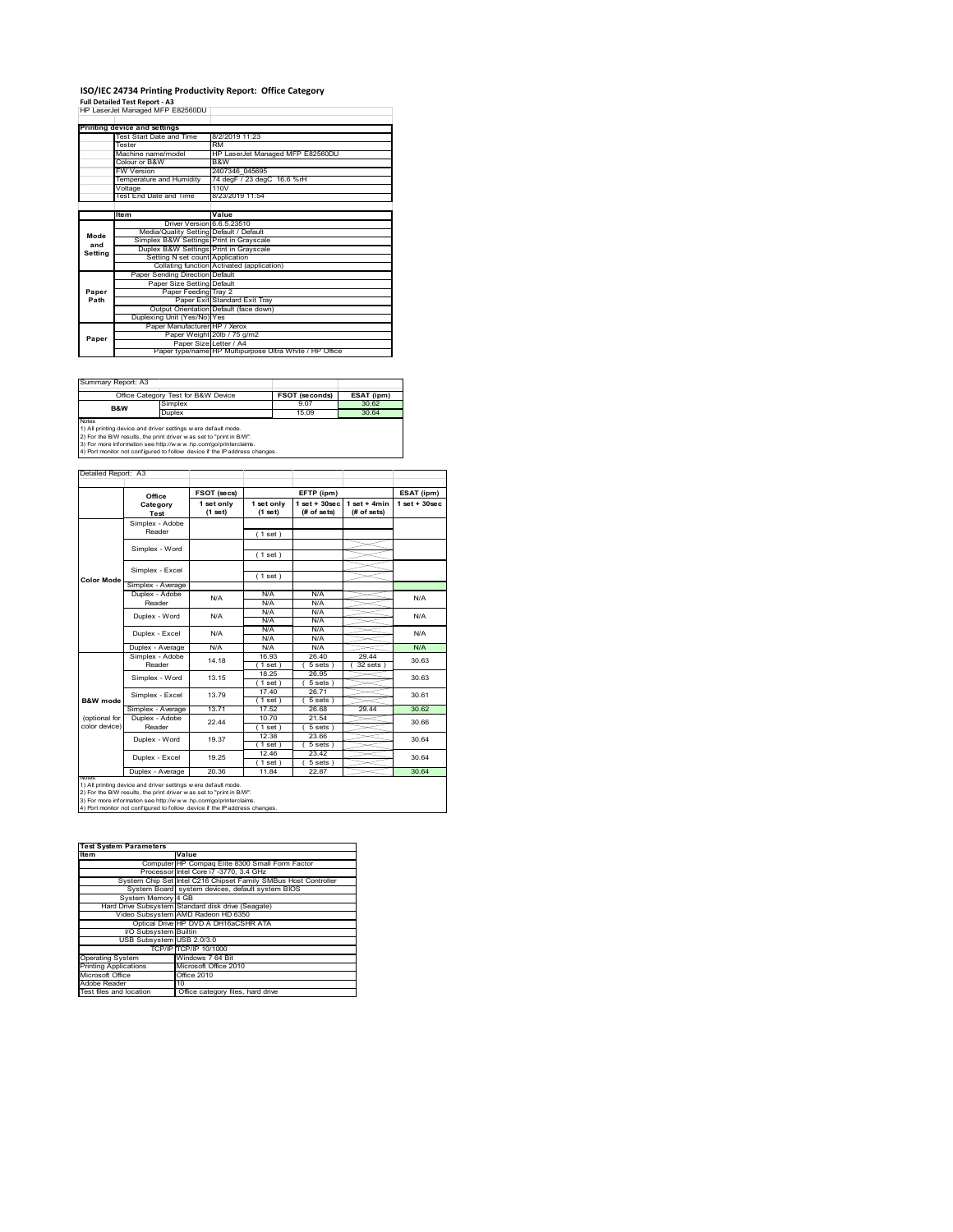#### **ISO/IEC 24734 Printing Productivity Report: Office Category Full Detailed Test Report ‐ A3** HP LaserJet Managed MFP E82560DU

|         | Printing device and settings            |                                                         |
|---------|-----------------------------------------|---------------------------------------------------------|
|         | Test Start Date and Time                | 8/2/2019 11:23                                          |
|         | Tester                                  | <b>RM</b>                                               |
|         | Machine name/model                      | HP LaserJet Managed MFP E82560DU                        |
|         | Colour or B&W                           | B&W                                                     |
|         | <b>FW Version</b>                       | 2407346 045695                                          |
|         | Temperature and Humidity                | 74 degF / 23 degC 16.6 %rH                              |
|         | Voltage                                 | 110V                                                    |
|         | Test End Date and Time                  | 8/23/2019 11:54                                         |
|         |                                         |                                                         |
|         | Item                                    | Value                                                   |
|         | Driver Version 6.6.5.23510              |                                                         |
| Mode    | Media/Quality Setting Default / Default |                                                         |
| and     | Simplex B&W Settings Print in Grayscale |                                                         |
| Setting | Duplex B&W Settings Print in Grayscale  |                                                         |
|         | Setting N set count Application         |                                                         |
|         |                                         | Collating function Activated (application)              |
|         | Paper Sending Direction Default         |                                                         |
|         | Paper Size Setting Default              |                                                         |
| Paper   | Paper Feeding Tray 2                    |                                                         |
| Path    |                                         | Paper Exit Standard Exit Tray                           |
|         |                                         | Output Orientation Default (face down)                  |
|         | Duplexing Unit (Yes/No) Yes             |                                                         |
|         | Paper Manufacturer HP / Xerox           |                                                         |
| Paper   |                                         | Paper Weight 20lb / 75 g/m2                             |
|         | Paper Size Letter / A4                  |                                                         |
|         |                                         | Paper type/name HP Multipurpose Ultra White / HP Office |

Ĩ.

Summary Report: A3

| <b>UUILLIGIY INGDUIL AU</b>                                    |                                                                       |                       |            |  |  |  |
|----------------------------------------------------------------|-----------------------------------------------------------------------|-----------------------|------------|--|--|--|
| Office Category Test for B&W Device                            |                                                                       | <b>FSOT (seconds)</b> | ESAT (ipm) |  |  |  |
| B&W                                                            | Simplex                                                               | 9.07                  | 30.62      |  |  |  |
|                                                                | Duplex                                                                | 15.09                 | 30.64      |  |  |  |
| Notes                                                          |                                                                       |                       |            |  |  |  |
| 1) All printing device and driver settings w ere default mode. |                                                                       |                       |            |  |  |  |
|                                                                | On Car the DAM consider the point deliver true and to finded in DAAP. |                       |            |  |  |  |

2) For the B/W results, the print driver w as set to "print in B/W".<br>3) For more information see http://w w w .hp.com/go/printerclaims.<br>4) Port monitor not configured to follow device if the IP address changes.

|                     | Office            | FSOT (secs)             | EFTP (ipm)              |                                  |                               | ESAT (ipm)        |  |
|---------------------|-------------------|-------------------------|-------------------------|----------------------------------|-------------------------------|-------------------|--|
|                     | Category<br>Test  | 1 set only<br>$(1$ set) | 1 set only<br>$(1$ set) | $1$ set $+30$ sec<br>(# of sets) | $1$ set + 4min<br>(# of sets) | $1$ set $+30$ sec |  |
|                     | Simplex - Adobe   |                         |                         |                                  |                               |                   |  |
|                     | Reader            |                         | (1 set)                 |                                  |                               |                   |  |
|                     | Simplex - Word    |                         |                         |                                  |                               |                   |  |
|                     |                   |                         | (1 set)                 |                                  |                               |                   |  |
|                     | Simplex - Excel   |                         |                         |                                  |                               |                   |  |
| <b>Color Mode</b>   |                   |                         | (1 set)                 |                                  |                               |                   |  |
|                     | Simplex - Average |                         |                         |                                  |                               |                   |  |
|                     | Duplex - Adobe    | N/A                     | N/A                     | N/A                              |                               | N/A               |  |
|                     | Reader            |                         | N/A                     | N/A                              |                               |                   |  |
|                     | Duplex - Word     | N/A                     | N/A                     | N/A                              |                               | N/A               |  |
|                     |                   |                         | N/A                     | N/A                              |                               |                   |  |
|                     | Duplex - Excel    | N/A                     | N/A                     | N/A                              |                               | N/A               |  |
|                     |                   |                         | N/A                     | N/A                              |                               |                   |  |
|                     | Duplex - Average  | N/A                     | N/A                     | N/A                              |                               | N/A               |  |
|                     | Simplex - Adobe   | 14.18                   | 16.93                   | 26.40                            | 29 44                         | 30.63<br>30.63    |  |
|                     | Reader            |                         | (1 set)                 | 5 sets                           | 32 sets 1                     |                   |  |
|                     | Simplex - Word    | 13.15                   | 18.25                   | 26.95                            |                               |                   |  |
|                     |                   |                         | (1 set)                 | 5 sets)                          |                               |                   |  |
|                     | Simplex - Excel   | 13.79                   | 1740                    | 2671                             |                               | 30.61             |  |
| <b>B&amp;W</b> mode |                   |                         | 1 set                   | 5 sets                           |                               |                   |  |
|                     | Simplex - Average | 13.71                   | 17.52                   | 26.68                            | 29.44                         | 30.62             |  |
| (optional for       | Duplex - Adobe    | 22 44                   | 10.70                   | 21.54                            |                               | 30.66             |  |
| color device)       | Reader            |                         | (1 set)                 | $5 sets$ )                       |                               |                   |  |
|                     | Duplex - Word     | 19.37                   | 12.38                   | 23.66                            |                               | 30.64             |  |
|                     |                   |                         | (1 set)                 | $5 sets$ )                       |                               |                   |  |
|                     | Duplex - Excel    | 19 25                   | 12.46                   | 23.42                            |                               |                   |  |
|                     |                   |                         | $1$ set)                | 5 sets                           |                               | 30.64             |  |
|                     | Duplex - Average  | 20.36                   | 11.84                   | 22.87                            |                               | 30.64             |  |

1) All printing device and driver settings were default mode.<br>2) For the B/W results, the print driver was set to "print in B/W".<br>3) For more information see http://www.hp.com/go/printerclaims.<br>4) Port monitor not configur

| <b>Test System Parameters</b> |                                                                 |  |  |  |  |
|-------------------------------|-----------------------------------------------------------------|--|--|--|--|
| <b>Item</b>                   | Value                                                           |  |  |  |  |
|                               | Computer HP Compaq Elite 8300 Small Form Factor                 |  |  |  |  |
|                               | Processor Intel Core i7 -3770, 3.4 GHz                          |  |  |  |  |
|                               | System Chip Set Intel C216 Chipset Family SMBus Host Controller |  |  |  |  |
|                               | System Board system devices, default system BIOS                |  |  |  |  |
| System Memory 4 GB            |                                                                 |  |  |  |  |
|                               | Hard Drive Subsystem Standard disk drive (Seagate)              |  |  |  |  |
|                               | Video Subsystem AMD Radeon HD 6350                              |  |  |  |  |
|                               | Optical Drive HP DVD A DH16aCSHR ATA                            |  |  |  |  |
| VO Subsystem Builtin          |                                                                 |  |  |  |  |
| USB Subsystem USB 2.0/3.0     |                                                                 |  |  |  |  |
|                               | TCP/IP TCP/IP 10/1000                                           |  |  |  |  |
| <b>Operating System</b>       | Windows 7 64 Bit                                                |  |  |  |  |
| <b>Printing Applications</b>  | Microsoft Office 2010                                           |  |  |  |  |
| Microsoft Office              | Office 2010                                                     |  |  |  |  |
| Adobe Reader                  | 10                                                              |  |  |  |  |
| Test files and location       | Office category files, hard drive                               |  |  |  |  |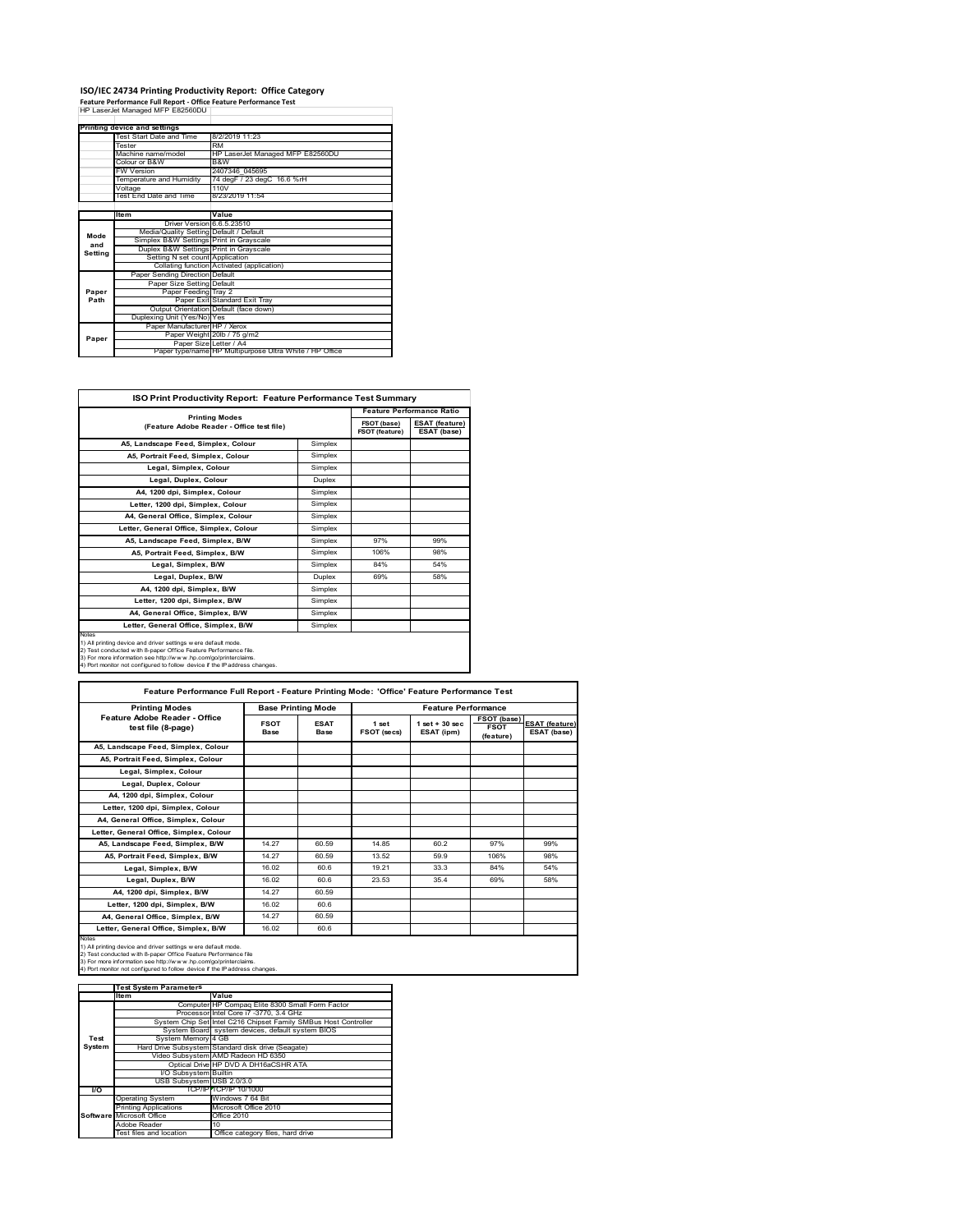### **ISO/IEC 24734 Printing Productivity Report: Office Category<br>Feature Performance Full Report - Office Feature Performance Test<br>HP LaserJet Managed MFP E82560DU |**

|         | . cature remonmance run neport - onnee reature remonmance rest |                                                         |
|---------|----------------------------------------------------------------|---------------------------------------------------------|
|         | HP LaserJet Managed MFP E82560DU                               |                                                         |
|         |                                                                |                                                         |
|         | Printing device and settings                                   |                                                         |
|         | Test Start Date and Time                                       | 8/2/2019 11:23                                          |
|         | Tester                                                         | <b>RM</b>                                               |
|         | Machine name/model                                             | HP LaserJet Managed MFP E82560DU                        |
|         | Colour or B&W                                                  | B&W                                                     |
|         | <b>FW Version</b>                                              | 2407346 045695                                          |
|         | Temperature and Humidity                                       | 74 degF / 23 degC 16.6 %rH                              |
|         | Voltage                                                        | 110V                                                    |
|         | Test End Date and Time                                         | 8/23/2019 11:54                                         |
|         |                                                                |                                                         |
|         | Item                                                           | Value                                                   |
|         | Driver Version 6.6.5.23510                                     |                                                         |
| Mode    | Media/Quality Setting Default / Default                        |                                                         |
| and     | Simplex B&W Settings Print in Grayscale                        |                                                         |
| Setting | Duplex B&W Settings Print in Grayscale                         |                                                         |
|         | Setting N set count Application                                |                                                         |
|         |                                                                | Collating function Activated (application)              |
|         | Paper Sending Direction Default                                |                                                         |
|         | Paper Size Setting Default                                     |                                                         |
| Paper   | Paper Feeding Tray 2                                           |                                                         |
| Path    |                                                                | Paper Exit Standard Exit Tray                           |
|         |                                                                |                                                         |
|         |                                                                |                                                         |
|         | Paper Manufacturer HP / Xerox                                  |                                                         |
|         |                                                                | Paper Weight 20lb / 75 g/m2                             |
|         |                                                                |                                                         |
|         |                                                                | Paper type/name HP Multipurpose Ultra White / HP Office |
| Paper   | Duplexing Unit (Yes/No) Yes<br>Paper Size Letter / A4          | Output Orientation Default (face down)                  |

| <b>ISO Print Productivity Report: Feature Performance Test Summary</b>                                                                                                                                                                                                                      |                       |                                  |                                      |  |  |  |  |
|---------------------------------------------------------------------------------------------------------------------------------------------------------------------------------------------------------------------------------------------------------------------------------------------|-----------------------|----------------------------------|--------------------------------------|--|--|--|--|
|                                                                                                                                                                                                                                                                                             |                       | <b>Feature Performance Ratio</b> |                                      |  |  |  |  |
| (Feature Adobe Reader - Office test file)                                                                                                                                                                                                                                                   | <b>Printing Modes</b> |                                  | <b>ESAT (feature)</b><br>ESAT (base) |  |  |  |  |
| A5, Landscape Feed, Simplex, Colour                                                                                                                                                                                                                                                         | Simplex               |                                  |                                      |  |  |  |  |
| A5, Portrait Feed, Simplex, Colour                                                                                                                                                                                                                                                          | Simplex               |                                  |                                      |  |  |  |  |
| Legal, Simplex, Colour                                                                                                                                                                                                                                                                      | Simplex               |                                  |                                      |  |  |  |  |
| Legal, Duplex, Colour                                                                                                                                                                                                                                                                       | Duplex                |                                  |                                      |  |  |  |  |
| A4, 1200 dpi, Simplex, Colour                                                                                                                                                                                                                                                               | Simplex               |                                  |                                      |  |  |  |  |
| Letter, 1200 dpi, Simplex, Colour                                                                                                                                                                                                                                                           | Simplex               |                                  |                                      |  |  |  |  |
| A4. General Office. Simplex. Colour                                                                                                                                                                                                                                                         | Simplex               |                                  |                                      |  |  |  |  |
| Letter, General Office, Simplex, Colour                                                                                                                                                                                                                                                     | Simplex               |                                  |                                      |  |  |  |  |
| A5, Landscape Feed, Simplex, B/W                                                                                                                                                                                                                                                            | Simplex               | 97%                              | 99%                                  |  |  |  |  |
| A5, Portrait Feed, Simplex, B/W                                                                                                                                                                                                                                                             | Simplex               | 106%                             | 98%                                  |  |  |  |  |
| Legal, Simplex, B/W                                                                                                                                                                                                                                                                         | Simplex               | 84%                              | 54%                                  |  |  |  |  |
| Legal, Duplex, B/W                                                                                                                                                                                                                                                                          | <b>Duplex</b>         | 69%                              | 58%                                  |  |  |  |  |
| A4, 1200 dpi, Simplex, B/W                                                                                                                                                                                                                                                                  | Simplex               |                                  |                                      |  |  |  |  |
| Letter, 1200 dpi, Simplex, B/W                                                                                                                                                                                                                                                              | Simplex               |                                  |                                      |  |  |  |  |
| A4, General Office, Simplex, B/W                                                                                                                                                                                                                                                            | Simplex               |                                  |                                      |  |  |  |  |
| Letter, General Office, Simplex, B/W                                                                                                                                                                                                                                                        | Simplex               |                                  |                                      |  |  |  |  |
| Notes<br>1) All printing device and driver settings w ere default mode.<br>2) Test conducted with 8-paper Office Feature Performance file.<br>3) For more information see http://www.hp.com/go/printerclaims.<br>4) Port monitor not configured to follow device if the IP address changes. |                       |                                  |                                      |  |  |  |  |

| Feature Performance Full Report - Feature Printing Mode: 'Office' Feature Performance Test                                                                                                                                                                                                        |                     |                           |                      |                                  |                                                |                                      |  |
|---------------------------------------------------------------------------------------------------------------------------------------------------------------------------------------------------------------------------------------------------------------------------------------------------|---------------------|---------------------------|----------------------|----------------------------------|------------------------------------------------|--------------------------------------|--|
| <b>Printing Modes</b>                                                                                                                                                                                                                                                                             |                     | <b>Base Printing Mode</b> |                      | <b>Feature Performance</b>       |                                                |                                      |  |
| Feature Adobe Reader - Office<br>test file (8-page)                                                                                                                                                                                                                                               | <b>FSOT</b><br>Base | <b>ESAT</b><br>Base       | 1 set<br>FSOT (secs) | $1$ set $+30$ sec.<br>ESAT (ipm) | <b>FSOT (base)</b><br><b>FSOT</b><br>(feature) | <b>ESAT (feature)</b><br>ESAT (base) |  |
| A5, Landscape Feed, Simplex, Colour                                                                                                                                                                                                                                                               |                     |                           |                      |                                  |                                                |                                      |  |
| A5. Portrait Feed. Simplex. Colour                                                                                                                                                                                                                                                                |                     |                           |                      |                                  |                                                |                                      |  |
| Legal, Simplex, Colour                                                                                                                                                                                                                                                                            |                     |                           |                      |                                  |                                                |                                      |  |
| Legal, Duplex, Colour                                                                                                                                                                                                                                                                             |                     |                           |                      |                                  |                                                |                                      |  |
| A4. 1200 dpi. Simplex. Colour                                                                                                                                                                                                                                                                     |                     |                           |                      |                                  |                                                |                                      |  |
| Letter, 1200 dpi, Simplex, Colour                                                                                                                                                                                                                                                                 |                     |                           |                      |                                  |                                                |                                      |  |
| A4, General Office, Simplex, Colour                                                                                                                                                                                                                                                               |                     |                           |                      |                                  |                                                |                                      |  |
| Letter, General Office, Simplex, Colour                                                                                                                                                                                                                                                           |                     |                           |                      |                                  |                                                |                                      |  |
| A5, Landscape Feed, Simplex, B/W                                                                                                                                                                                                                                                                  | 14.27               | 60.59                     | 14.85                | 60.2                             | 97%                                            | 99%                                  |  |
| A5. Portrait Feed. Simplex. B/W                                                                                                                                                                                                                                                                   | 14.27               | 60.59                     | 13.52                | 59.9                             | 106%                                           | 98%                                  |  |
| Legal, Simplex, B/W                                                                                                                                                                                                                                                                               | 16.02               | 60.6                      | 19 21                | 33.3                             | 84%                                            | 54%                                  |  |
| Legal, Duplex, B/W                                                                                                                                                                                                                                                                                | 16.02               | 60.6                      | 23.53                | 35.4                             | 69%                                            | 58%                                  |  |
| A4. 1200 dpi. Simplex. B/W                                                                                                                                                                                                                                                                        | 14.27               | 60.59                     |                      |                                  |                                                |                                      |  |
| Letter, 1200 dpi, Simplex, B/W                                                                                                                                                                                                                                                                    | 16.02               | 60.6                      |                      |                                  |                                                |                                      |  |
| A4, General Office, Simplex, B/W                                                                                                                                                                                                                                                                  | 14.27               | 60.59                     |                      |                                  |                                                |                                      |  |
| Letter, General Office, Simplex, B/W                                                                                                                                                                                                                                                              | 16.02               | 60.6                      |                      |                                  |                                                |                                      |  |
| <b>Notes</b><br>1) All printing device and driver settings w ere default mode.<br>2) Test conducted with 8-paper Office Feature Performance file<br>3) For more information see http://www.hp.com/go/printerclaims.<br>4) Port monitor not configured to follow device if the IP address changes. |                     |                           |                      |                                  |                                                |                                      |  |

|               | <b>Test System Parameters</b> |                                                                 |  |  |
|---------------|-------------------------------|-----------------------------------------------------------------|--|--|
|               | Item                          | Value                                                           |  |  |
|               |                               | Computer HP Compaq Elite 8300 Small Form Factor                 |  |  |
|               |                               | Processor Intel Core i7 -3770, 3.4 GHz                          |  |  |
|               |                               | System Chip Set Intel C216 Chipset Family SMBus Host Controller |  |  |
|               |                               | System Board system devices, default system BIOS                |  |  |
| Test          | System Memory 4 GB            |                                                                 |  |  |
| <b>System</b> |                               | Hard Drive Subsystem Standard disk drive (Seagate)              |  |  |
|               |                               | Video Subsystem AMD Radeon HD 6350                              |  |  |
|               |                               | Optical Drive HP DVD A DH16aCSHR ATA                            |  |  |
|               | I/O Subsystem Builtin         |                                                                 |  |  |
|               | USB Subsystem USB 2.0/3.0     |                                                                 |  |  |
| <b>VO</b>     |                               | TCP/IPITCP/IP 10/1000                                           |  |  |
|               | <b>Operating System</b>       | Windows 7 64 Bit                                                |  |  |
|               | <b>Printing Applications</b>  | Microsoft Office 2010                                           |  |  |
|               | Software Microsoft Office     | Office 2010                                                     |  |  |
|               | Adobe Reader                  | 10                                                              |  |  |
|               | Test files and location       | Office category files, hard drive                               |  |  |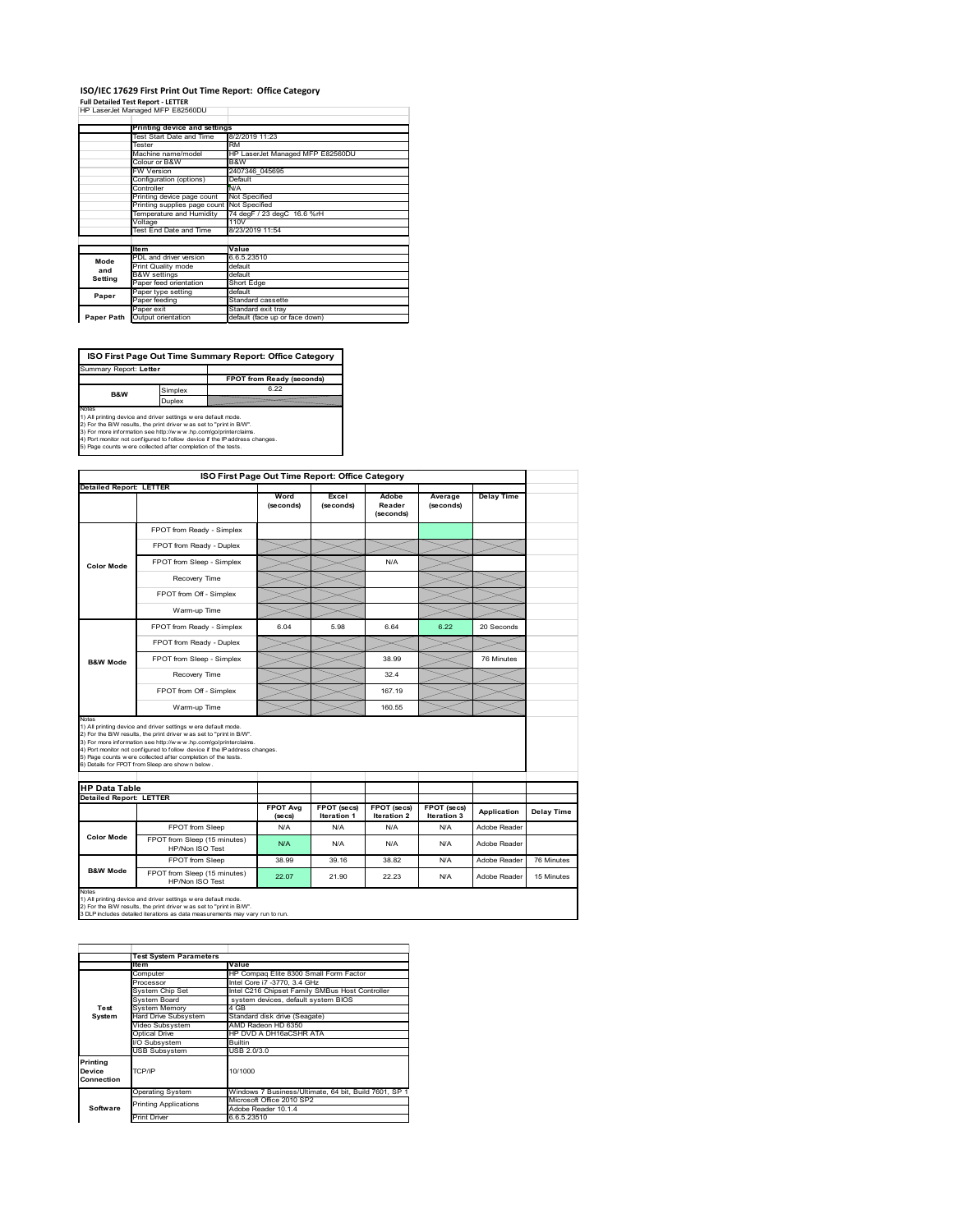#### **ISO/IEC 17629 First Print Out Time Report: Office Category Full Detailed Test Report ‐ LETTER** HP LaserJet Managed MFP E82560DU

|            | capping managed m cocooooo                 |                                  |  |  |
|------------|--------------------------------------------|----------------------------------|--|--|
|            | Printing device and settings               |                                  |  |  |
|            | Test Start Date and Time                   | 8/2/2019 11:23                   |  |  |
|            | Tester                                     | RM                               |  |  |
|            | Machine name/model                         | HP LaserJet Managed MFP E82560DU |  |  |
|            | Colour or B&W                              | B&W                              |  |  |
|            | <b>FW Version</b>                          | 2407346 045695                   |  |  |
|            | Configuration (options)                    | Default                          |  |  |
|            | Controller                                 | N/A                              |  |  |
|            | Printing device page count                 | Not Specified                    |  |  |
|            | Printing supplies page count Not Specified |                                  |  |  |
|            | Temperature and Humidity                   | 74 degF / 23 degC 16.6 %rH       |  |  |
|            | Voltage                                    | 110V                             |  |  |
|            | Test End Date and Time                     | 8/23/2019 11:54                  |  |  |
|            |                                            |                                  |  |  |
|            | <b>Item</b>                                | Value                            |  |  |
| Mode       | PDL and driver version                     | 6.6.5.23510                      |  |  |
| and        | Print Quality mode                         | default                          |  |  |
| Setting    | <b>B&amp;W</b> settings                    | default                          |  |  |
|            | Paper feed orientation                     | Short Edge                       |  |  |
| Paper      | Paper type setting                         | default                          |  |  |
|            | Paper feeding                              | Standard cassette                |  |  |
|            | Paper exit                                 | Standard exit tray               |  |  |
| Paper Path | Output orientation                         | default (face up or face down)   |  |  |

**FPOT from Ready (seconds)**<br>
Simplex 6.22 **ISO First Page Out Time Summary Report: Office Category** Summary Report: **Letter B&W**

**Duplex**<br>Notes<br>1) All printing device and driver settings were default mode.<br>2) For the BM results, the print driver was set to "print in BM".<br>4) For more information see http://www.hp.com/golprinterclaims.<br>4) Port monitor

| ISO First Page Out Time Report: Office Category                                                                                                                                                                                                                                                                                                                                                                                                     |                                                                                                                                                                                                                       |                            |                                   |                              |                            |                   |            |
|-----------------------------------------------------------------------------------------------------------------------------------------------------------------------------------------------------------------------------------------------------------------------------------------------------------------------------------------------------------------------------------------------------------------------------------------------------|-----------------------------------------------------------------------------------------------------------------------------------------------------------------------------------------------------------------------|----------------------------|-----------------------------------|------------------------------|----------------------------|-------------------|------------|
| <b>Detailed Report: LETTER</b>                                                                                                                                                                                                                                                                                                                                                                                                                      |                                                                                                                                                                                                                       |                            |                                   |                              |                            |                   |            |
|                                                                                                                                                                                                                                                                                                                                                                                                                                                     |                                                                                                                                                                                                                       | Word<br>(seconds)          | Excel<br>(seconds)                | Adobe<br>Reader<br>(seconds) | Average<br>(seconds)       | <b>Delay Time</b> |            |
|                                                                                                                                                                                                                                                                                                                                                                                                                                                     | FPOT from Ready - Simplex                                                                                                                                                                                             |                            |                                   |                              |                            |                   |            |
|                                                                                                                                                                                                                                                                                                                                                                                                                                                     | FPOT from Ready - Duplex                                                                                                                                                                                              |                            |                                   |                              |                            |                   |            |
| <b>Color Mode</b>                                                                                                                                                                                                                                                                                                                                                                                                                                   | FPOT from Sleep - Simplex                                                                                                                                                                                             |                            |                                   | N/A                          |                            |                   |            |
|                                                                                                                                                                                                                                                                                                                                                                                                                                                     | Recovery Time                                                                                                                                                                                                         |                            |                                   |                              |                            |                   |            |
|                                                                                                                                                                                                                                                                                                                                                                                                                                                     | FPOT from Off - Simplex                                                                                                                                                                                               |                            |                                   |                              |                            |                   |            |
|                                                                                                                                                                                                                                                                                                                                                                                                                                                     | Warm-up Time                                                                                                                                                                                                          |                            |                                   |                              |                            |                   |            |
|                                                                                                                                                                                                                                                                                                                                                                                                                                                     | FPOT from Ready - Simplex                                                                                                                                                                                             | 6.04                       | 5.98                              | 6.64                         | 6.22                       | 20 Seconds        |            |
|                                                                                                                                                                                                                                                                                                                                                                                                                                                     | FPOT from Ready - Duplex                                                                                                                                                                                              |                            |                                   |                              |                            |                   |            |
| <b>B&amp;W Mode</b>                                                                                                                                                                                                                                                                                                                                                                                                                                 | FPOT from Sleep - Simplex                                                                                                                                                                                             |                            |                                   | 38.99                        |                            | 76 Minutes        |            |
|                                                                                                                                                                                                                                                                                                                                                                                                                                                     | Recovery Time                                                                                                                                                                                                         |                            |                                   | 32.4                         |                            |                   |            |
|                                                                                                                                                                                                                                                                                                                                                                                                                                                     | FPOT from Off - Simplex                                                                                                                                                                                               |                            |                                   | 167.19                       |                            |                   |            |
|                                                                                                                                                                                                                                                                                                                                                                                                                                                     | Warm-up Time                                                                                                                                                                                                          |                            |                                   | 160.55                       |                            |                   |            |
| <b>Notes</b><br>1) All printing device and driver settings w ere default mode.<br>2) For the B/W results, the print driver was set to "print in B/W".<br>3) For more information see http://www.hp.com/go/printerclaims.<br>4) Port monitor not configured to follow device if the IP address changes.<br>5) Page counts w ere collected after completion of the tests.<br>6) Details for FPOT from Sleep are show n below.<br><b>HP Data Table</b> |                                                                                                                                                                                                                       |                            |                                   |                              |                            |                   |            |
| <b>Detailed Report: LETTER</b>                                                                                                                                                                                                                                                                                                                                                                                                                      |                                                                                                                                                                                                                       |                            |                                   |                              |                            |                   |            |
|                                                                                                                                                                                                                                                                                                                                                                                                                                                     |                                                                                                                                                                                                                       | <b>FPOT Avg</b><br>(se cs) | FPOT (secs)<br><b>Iteration 1</b> | FPOT (secs)<br>Iteration 2   | FPOT (secs)<br>Iteration 3 | Application       | Delay Time |
|                                                                                                                                                                                                                                                                                                                                                                                                                                                     | FPOT from Sleep                                                                                                                                                                                                       | N/A                        | N/A                               | N/A                          | N/A                        | Adobe Reader      |            |
| <b>Color Mode</b>                                                                                                                                                                                                                                                                                                                                                                                                                                   | FPOT from Sleep (15 minutes)<br>HP/Non ISO Test                                                                                                                                                                       | N/A                        | N/A                               | N/A                          | N/A                        | Adobe Reader      |            |
|                                                                                                                                                                                                                                                                                                                                                                                                                                                     | FPOT from Sleep                                                                                                                                                                                                       | 38.99                      | 39.16                             | 38.82                        | N/A                        | Adobe Reader      | 76 Minutes |
| <b>B&amp;W Mode</b>                                                                                                                                                                                                                                                                                                                                                                                                                                 | FPOT from Sleep (15 minutes)<br>HP/Non ISO Test                                                                                                                                                                       | 22.07                      | 21.90                             | 22.23                        | N/A                        | Adobe Reader      | 15 Minutes |
| Notes                                                                                                                                                                                                                                                                                                                                                                                                                                               | 1) All printing device and driver settings w ere default mode.<br>2) For the B/W results, the print driver was set to "print in B/W".<br>3 DLP includes detailed iterations as data measurements may vary run to run. |                            |                                   |                              |                            |                   |            |

|                                            | <b>Test System Parameters</b> |                                                       |  |  |  |
|--------------------------------------------|-------------------------------|-------------------------------------------------------|--|--|--|
|                                            | <b>Item</b>                   | Value                                                 |  |  |  |
|                                            | Computer                      | HP Compag Elite 8300 Small Form Factor                |  |  |  |
|                                            | Processor                     | Intel Core i7 -3770, 3.4 GHz                          |  |  |  |
|                                            | System Chip Set               | Intel C216 Chipset Family SMBus Host Controller       |  |  |  |
|                                            | System Board                  | system devices, default system BIOS                   |  |  |  |
| Test                                       | <b>System Memory</b>          | 4 GB                                                  |  |  |  |
| System                                     | <b>Hard Drive Subsystem</b>   | Standard disk drive (Seagate)                         |  |  |  |
|                                            | Video Subsystem               | AMD Radeon HD 6350                                    |  |  |  |
|                                            | Optical Drive                 | HP DVD A DH16aCSHR ATA                                |  |  |  |
|                                            | I/O Subsystem                 | <b>Builtin</b>                                        |  |  |  |
|                                            | <b>USB Subsystem</b>          | USB 2.0/3.0                                           |  |  |  |
| Printing<br>TCP/IP<br>Device<br>Connection |                               | 10/1000                                               |  |  |  |
|                                            | <b>Operating System</b>       | Windows 7 Business/Ultimate, 64 bit, Build 7601, SP 1 |  |  |  |
|                                            |                               | Microsoft Office 2010 SP2                             |  |  |  |
| Software                                   | <b>Printing Applications</b>  | Adobe Reader 10.1.4                                   |  |  |  |
|                                            | <b>Print Driver</b>           | 6.6.5.23510                                           |  |  |  |
|                                            |                               |                                                       |  |  |  |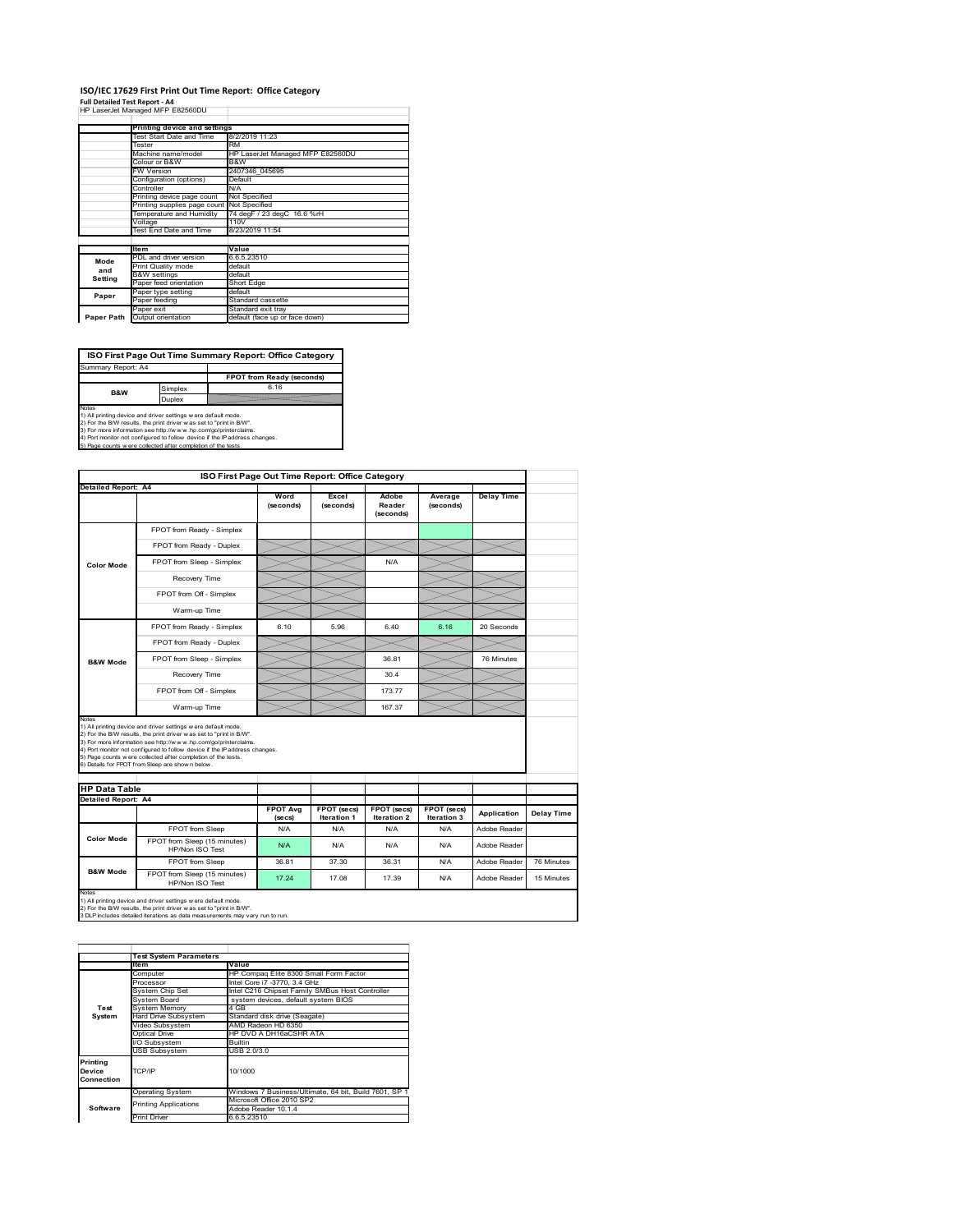#### **ISO/IEC 17629 First Print Out Time Report: Office Category**  $\overline{1}$

| Full Detailed Test Report - A4   |  |
|----------------------------------|--|
| HP LaserJet Managed MFP E82560DU |  |

|            | Printing device and settings               |                                  |  |  |
|------------|--------------------------------------------|----------------------------------|--|--|
|            | Test Start Date and Time                   | 8/2/2019 11:23                   |  |  |
|            | Tester                                     | <b>RM</b>                        |  |  |
|            | Machine name/model                         | HP LaserJet Managed MFP E82560DU |  |  |
|            | Colour or B&W                              | B&W                              |  |  |
|            | <b>FW Version</b>                          | 2407346 045695                   |  |  |
|            | Configuration (options)                    | Default                          |  |  |
|            | Controller                                 | N/A                              |  |  |
|            | Printing device page count                 | Not Specified                    |  |  |
|            | Printing supplies page count Not Specified |                                  |  |  |
|            | Temperature and Humidity                   | 74 degF / 23 degC 16.6 %rH       |  |  |
|            | Voltage                                    | 110V                             |  |  |
|            | Test End Date and Time                     | 8/23/2019 11:54                  |  |  |
|            |                                            |                                  |  |  |
|            | <b>Item</b>                                | Value                            |  |  |
| Mode       | PDL and driver version                     | 6.6.5.23510                      |  |  |
| and        | <b>Print Quality mode</b>                  | default                          |  |  |
| Setting    | <b>B&amp;W</b> settings                    | default                          |  |  |
|            | Paper feed orientation                     | Short Edge                       |  |  |
| Paper      | Paper type setting                         | default                          |  |  |
|            | Paper feeding                              | Standard cassette                |  |  |
|            | Paper exit                                 | Standard exit tray               |  |  |
| Paper Path | Output orientation                         | default (face up or face down)   |  |  |

٦

**ISO First Page Out Time Summary Report: Office Category**

**FPOT from Ready (seconds)** Simplex 6.16 **Duplex** Notes<br>1) All printing device and driver settings were default mode.<br>2) For the BAV results, the print driver was set to "print in BAV".<br>3) For more information see http://www.hp.com/golprinterclaims.<br>4) Port monitor not co Summary Report: A4 **B&W**

| ISO First Page Out Time Report: Office Category                                                                                                                                                                                                                                                                                                                                                                                              |                                                                                                                                                                                                                       |                            |                                   |                                   |                            |                   |            |
|----------------------------------------------------------------------------------------------------------------------------------------------------------------------------------------------------------------------------------------------------------------------------------------------------------------------------------------------------------------------------------------------------------------------------------------------|-----------------------------------------------------------------------------------------------------------------------------------------------------------------------------------------------------------------------|----------------------------|-----------------------------------|-----------------------------------|----------------------------|-------------------|------------|
| Detailed Report: A4                                                                                                                                                                                                                                                                                                                                                                                                                          |                                                                                                                                                                                                                       | Word<br>(seconds)          | Excel<br>(seconds)                | Adobe<br>Reader<br>(seconds)      | Average<br>(seconds)       | <b>Delay Time</b> |            |
|                                                                                                                                                                                                                                                                                                                                                                                                                                              | FPOT from Ready - Simplex                                                                                                                                                                                             |                            |                                   |                                   |                            |                   |            |
|                                                                                                                                                                                                                                                                                                                                                                                                                                              | FPOT from Ready - Duplex                                                                                                                                                                                              |                            |                                   |                                   |                            |                   |            |
| <b>Color Mode</b>                                                                                                                                                                                                                                                                                                                                                                                                                            | FPOT from Sleep - Simplex                                                                                                                                                                                             |                            |                                   | N/A                               |                            |                   |            |
|                                                                                                                                                                                                                                                                                                                                                                                                                                              | Recovery Time                                                                                                                                                                                                         |                            |                                   |                                   |                            |                   |            |
|                                                                                                                                                                                                                                                                                                                                                                                                                                              | FPOT from Off - Simplex                                                                                                                                                                                               |                            |                                   |                                   |                            |                   |            |
|                                                                                                                                                                                                                                                                                                                                                                                                                                              | Warm-up Time                                                                                                                                                                                                          |                            |                                   |                                   |                            |                   |            |
|                                                                                                                                                                                                                                                                                                                                                                                                                                              | FPOT from Ready - Simplex                                                                                                                                                                                             | 6.10                       | 5.96                              | 6.40                              | 6.16                       | 20 Seconds        |            |
|                                                                                                                                                                                                                                                                                                                                                                                                                                              | FPOT from Ready - Duplex                                                                                                                                                                                              |                            |                                   |                                   |                            |                   |            |
| <b>B&amp;W Mode</b>                                                                                                                                                                                                                                                                                                                                                                                                                          | FPOT from Sleep - Simplex                                                                                                                                                                                             |                            |                                   | 36.81                             |                            | 76 Minutes        |            |
|                                                                                                                                                                                                                                                                                                                                                                                                                                              | Recovery Time                                                                                                                                                                                                         |                            |                                   | 30.4                              |                            |                   |            |
|                                                                                                                                                                                                                                                                                                                                                                                                                                              | FPOT from Off - Simplex                                                                                                                                                                                               |                            |                                   | 17377                             |                            |                   |            |
|                                                                                                                                                                                                                                                                                                                                                                                                                                              | Warm-up Time                                                                                                                                                                                                          |                            |                                   | 167.37                            |                            |                   |            |
| Notes<br>1) All printing device and driver settings w ere default mode.<br>2) For the B/W results, the print driver was set to "print in B/W".<br>3) For more information see http://www.hp.com/go/printerclaims.<br>4) Port monitor not configured to follow device if the IP address changes.<br>5) Page counts w ere collected after completion of the tests.<br>6) Details for FPOT from Sleep are show n below.<br><b>HP Data Table</b> |                                                                                                                                                                                                                       |                            |                                   |                                   |                            |                   |            |
| <b>Detailed Report: A4</b>                                                                                                                                                                                                                                                                                                                                                                                                                   |                                                                                                                                                                                                                       |                            |                                   |                                   |                            |                   |            |
|                                                                                                                                                                                                                                                                                                                                                                                                                                              |                                                                                                                                                                                                                       | <b>FPOT Avg</b><br>(se cs) | FPOT (secs)<br><b>Iteration 1</b> | FPOT (secs)<br><b>Iteration 2</b> | FPOT (secs)<br>Iteration 3 | Application       | Delay Time |
|                                                                                                                                                                                                                                                                                                                                                                                                                                              | FPOT from Sleep                                                                                                                                                                                                       | N/A                        | N/A                               | N/A                               | N/A                        | Adobe Reader      |            |
| <b>Color Mode</b>                                                                                                                                                                                                                                                                                                                                                                                                                            | FPOT from Sleep (15 minutes)<br>HP/Non ISO Test                                                                                                                                                                       | N/A                        | N/A                               | N/A                               | N/A                        | Adobe Reader      |            |
|                                                                                                                                                                                                                                                                                                                                                                                                                                              | FPOT from Sleep                                                                                                                                                                                                       | 36.81                      | 37.30                             | 36.31                             | N/A                        | Adobe Reader      | 76 Minutes |
| <b>B&amp;W Mode</b>                                                                                                                                                                                                                                                                                                                                                                                                                          | FPOT from Sleep (15 minutes)<br>HP/Non ISO Test                                                                                                                                                                       | 17 24                      | 17.08                             | 17.39                             | N/A                        | Adobe Reader      | 15 Minutes |
| Notes                                                                                                                                                                                                                                                                                                                                                                                                                                        | 1) All printing device and driver settings w ere default mode.<br>2) For the B/W results, the print driver was set to "print in B/W".<br>3 DLP includes detailed iterations as data measurements may vary run to run. |                            |                                   |                                   |                            |                   |            |

|            | <b>Test System Parameters</b> |                                                       |
|------------|-------------------------------|-------------------------------------------------------|
|            | <b>Item</b>                   | Value                                                 |
|            | Computer                      | HP Compag Elite 8300 Small Form Factor                |
|            | Processor                     | Intel Core i7 -3770, 3.4 GHz                          |
|            | System Chip Set               | Intel C216 Chipset Family SMBus Host Controller       |
|            | System Board                  | system devices, default system BIOS                   |
| Test       | <b>System Memory</b>          | 4 GB                                                  |
| System     | <b>Hard Drive Subsystem</b>   | Standard disk drive (Seagate)                         |
|            | Video Subsystem               | AMD Radeon HD 6350                                    |
|            | Optical Drive                 | HP DVD A DH16aCSHR ATA                                |
|            | I/O Subsystem                 | <b>Builtin</b>                                        |
|            | <b>USB Subsystem</b>          | USB 2.0/3.0                                           |
| Printing   |                               |                                                       |
| Device     | TCP/IP                        | 10/1000                                               |
| Connection |                               |                                                       |
|            | <b>Operating System</b>       | Windows 7 Business/Ultimate, 64 bit, Build 7601, SP 1 |
|            | <b>Printing Applications</b>  | Microsoft Office 2010 SP2                             |
| Software   |                               | Adobe Reader 10.1.4                                   |
|            | <b>Print Driver</b>           | 6.6.5.23510                                           |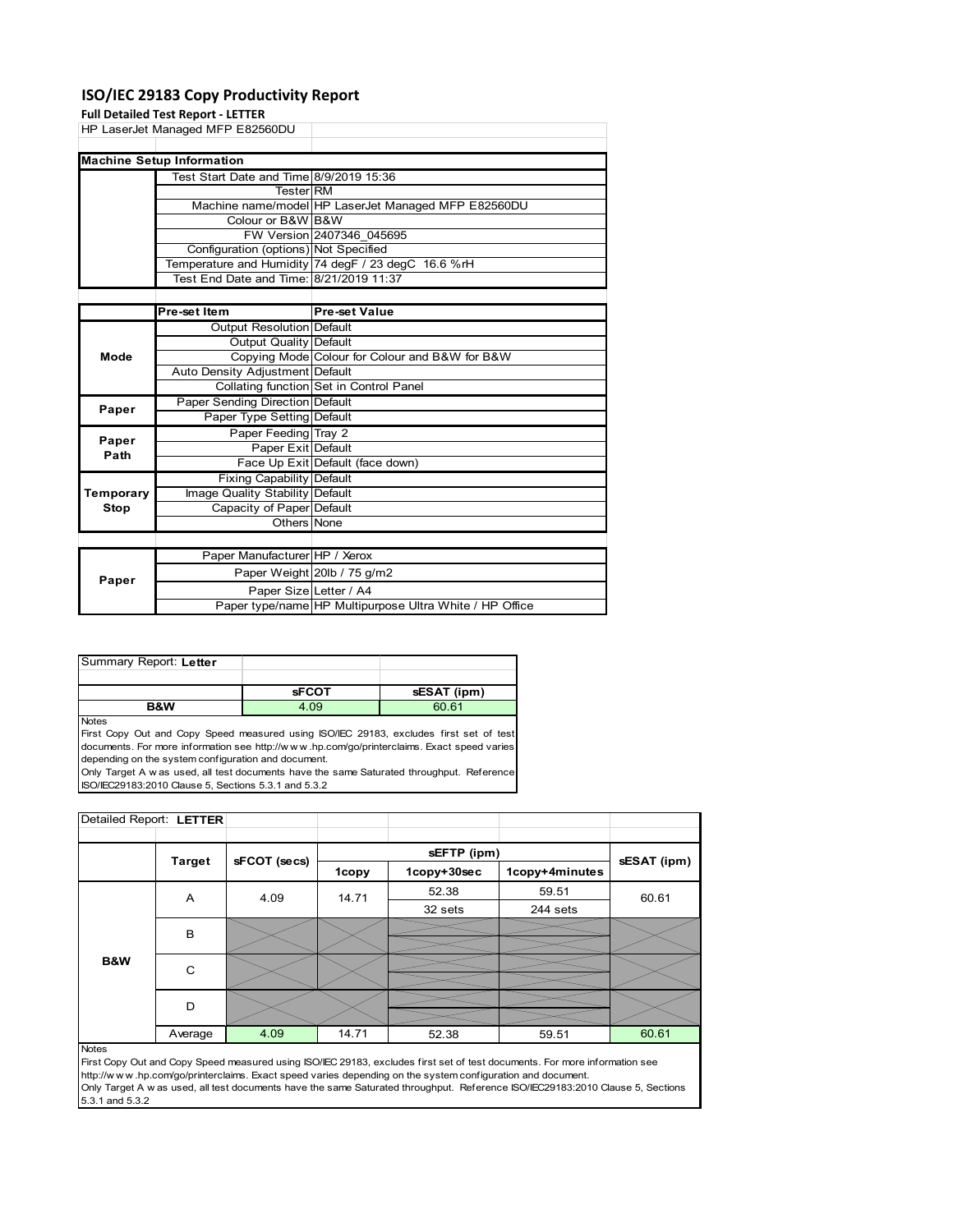#### **ISO/IEC 29183 Copy Productivity Report**

|           | <b>Full Detailed Test Report - LETTER</b> |                                                         |
|-----------|-------------------------------------------|---------------------------------------------------------|
|           | HP LaserJet Managed MFP E82560DU          |                                                         |
|           |                                           |                                                         |
|           | <b>Machine Setup Information</b>          |                                                         |
|           | Test Start Date and Time 8/9/2019 15:36   |                                                         |
|           | <b>Tester RM</b>                          |                                                         |
|           |                                           | Machine name/model HP LaserJet Managed MFP E82560DU     |
|           | Colour or B&W B&W                         |                                                         |
|           |                                           | FW Version 2407346 045695                               |
|           | Configuration (options) Not Specified     |                                                         |
|           |                                           | Temperature and Humidity 74 degF / 23 degC 16.6 %rH     |
|           | Test End Date and Time: 8/21/2019 11:37   |                                                         |
|           |                                           |                                                         |
|           | Pre-set Item                              | <b>Pre-set Value</b>                                    |
|           | Output Resolution Default                 |                                                         |
|           | <b>Output Quality Default</b>             |                                                         |
| Mode      |                                           | Copying Mode Colour for Colour and B&W for B&W          |
|           | Auto Density Adjustment Default           |                                                         |
|           |                                           | Collating function Set in Control Panel                 |
| Paper     | <b>Paper Sending Direction Default</b>    |                                                         |
|           | Paper Type Setting Default                |                                                         |
| Paper     | Paper Feeding Tray 2                      |                                                         |
| Path      | Paper Exit Default                        |                                                         |
|           |                                           | Face Up Exit Default (face down)                        |
|           | Fixing Capability Default                 |                                                         |
| Temporary | Image Quality Stability Default           |                                                         |
| Stop      | Capacity of Paper Default                 |                                                         |
|           | Others None                               |                                                         |
|           |                                           |                                                         |
|           | Paper Manufacturer HP / Xerox             |                                                         |
| Paper     |                                           | Paper Weight 20lb / 75 g/m2                             |
|           | Paper Size Letter / A4                    |                                                         |
|           |                                           | Paper type/name HP Multipurpose Ultra White / HP Office |

| Summary Report: Letter |              |             |
|------------------------|--------------|-------------|
|                        |              |             |
|                        |              |             |
|                        | <b>SFCOT</b> | sESAT (ipm) |

Notes

First Copy Out and Copy Speed measured using ISO/IEC 29183, excludes first set of test documents. For more information see http://w w w .hp.com/go/printerclaims. Exact speed varies depending on the system configuration and document.

Only Target A w as used, all test documents have the same Saturated throughput. Reference ISO/IEC29183:2010 Clause 5, Sections 5.3.1 and 5.3.2

| Detailed Report: LETTER |               |              |       |             |                |             |  |
|-------------------------|---------------|--------------|-------|-------------|----------------|-------------|--|
|                         |               |              |       |             |                |             |  |
|                         | <b>Target</b> | sFCOT (secs) |       | sEFTP (ipm) |                | sESAT (ipm) |  |
|                         |               |              | 1copy | 1copy+30sec | 1copy+4minutes |             |  |
|                         | A             | 4.09         | 14.71 | 52.38       | 59.51          | 60.61       |  |
|                         |               |              |       | 32 sets     | 244 sets       |             |  |
|                         | B             |              |       |             |                |             |  |
|                         |               |              |       |             |                |             |  |
| B&W                     | C             |              |       |             |                |             |  |
|                         | D             |              |       |             |                |             |  |
|                         | Average       | 4.09         | 14.71 | 52.38       | 59.51          | 60.61       |  |

Notes

First Copy Out and Copy Speed measured using ISO/IEC 29183, excludes first set of test documents. For more information see http://w w w .hp.com/go/printerclaims. Exact speed varies depending on the system configuration and document. Only Target A w as used, all test documents have the same Saturated throughput. Reference ISO/IEC29183:2010 Clause 5, Sections 5.3.1 and 5.3.2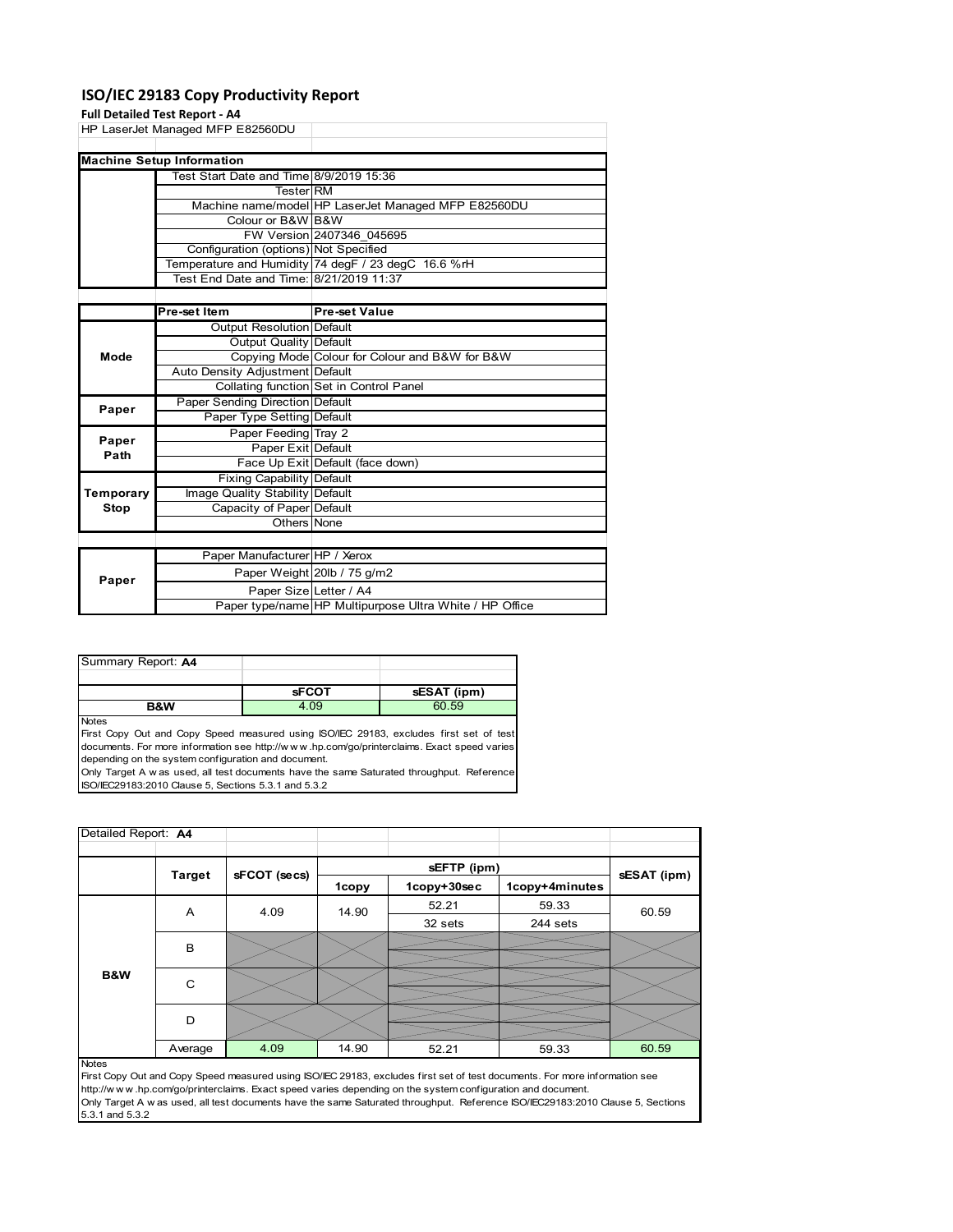#### **ISO/IEC 29183 Copy Productivity Report**

#### **Full Detailed Test R**

|           | <b>Full Detailed Test Report - A4</b>   |                                                     |
|-----------|-----------------------------------------|-----------------------------------------------------|
|           | HP LaserJet Managed MFP E82560DU        |                                                     |
|           |                                         |                                                     |
|           | <b>Machine Setup Information</b>        |                                                     |
|           | Test Start Date and Time 8/9/2019 15:36 |                                                     |
|           | <b>Tester RM</b>                        |                                                     |
|           |                                         | Machine name/model HP LaserJet Managed MFP E82560DU |
|           | Colour or B&W B&W                       |                                                     |
|           |                                         | FW Version 2407346 045695                           |
|           | Configuration (options) Not Specified   |                                                     |
|           |                                         | Temperature and Humidity 74 degF / 23 degC 16.6 %rH |
|           | Test End Date and Time: 8/21/2019 11:37 |                                                     |
|           |                                         |                                                     |
|           | Pre-set Item                            | <b>Pre-set Value</b>                                |
|           | <b>Output Resolution Default</b>        |                                                     |
|           | Output Quality Default                  |                                                     |
| Mode      |                                         | Copying Mode Colour for Colour and B&W for B&W      |
|           | Auto Density Adjustment Default         |                                                     |
|           |                                         | Collating function Set in Control Panel             |
| Paper     | Paper Sending Direction Default         |                                                     |
|           | Paper Type Setting Default              |                                                     |
| Paper     | Paper Feeding Tray 2                    |                                                     |
| Path      | Paper Exit Default                      |                                                     |
|           |                                         | Face Up Exit Default (face down)                    |
|           | <b>Fixing Capability Default</b>        |                                                     |
| Temporary | Image Quality Stability Default         |                                                     |
| Stop      | Capacity of Paper Default               |                                                     |
|           | Others None                             |                                                     |
|           |                                         |                                                     |
|           | Paper Manufacturer HP / Xerox           |                                                     |
| Paper     |                                         | Paper Weight 20lb / 75 g/m2                         |
|           | Paper Size Letter / A4                  |                                                     |

| Summary Report: A4 |              |             |
|--------------------|--------------|-------------|
|                    |              |             |
|                    | <b>sFCOT</b> | sESAT (ipm) |
| <b>B&amp;W</b>     | 4.09         | 60.59       |

Notes

First Copy Out and Copy Speed measured using ISO/IEC 29183, excludes first set of test documents. For more information see http://w w w .hp.com/go/printerclaims. Exact speed varies depending on the system configuration and document.

Only Target A w as used, all test documents have the same Saturated throughput. Reference ISO/IEC29183:2010 Clause 5, Sections 5.3.1 and 5.3.2

| Detailed Report: A4 |               |              |       |             |                |             |  |
|---------------------|---------------|--------------|-------|-------------|----------------|-------------|--|
|                     |               |              |       | sEFTP (ipm) |                |             |  |
|                     | <b>Target</b> | sFCOT (secs) | 1copy | 1copy+30sec | 1copy+4minutes | sESAT (ipm) |  |
|                     | A             | 4.09         | 14.90 | 52.21       | 59.33          | 60.59       |  |
|                     |               |              |       | 32 sets     | 244 sets       |             |  |
|                     | B             |              |       |             |                |             |  |
| B&W                 | C             |              |       |             |                |             |  |
|                     | D             |              |       |             |                |             |  |
|                     | Average       | 4.09         | 14.90 | 52.21       | 59.33          | 60.59       |  |
| <b>Notes</b>        |               |              |       |             |                |             |  |

Paper type/name HP Multipurpose Ultra White / HP Office

First Copy Out and Copy Speed measured using ISO/IEC 29183, excludes first set of test documents. For more information see http://w w w .hp.com/go/printerclaims. Exact speed varies depending on the system configuration and document. Only Target A w as used, all test documents have the same Saturated throughput. Reference ISO/IEC29183:2010 Clause 5, Sections 5.3.1 and 5.3.2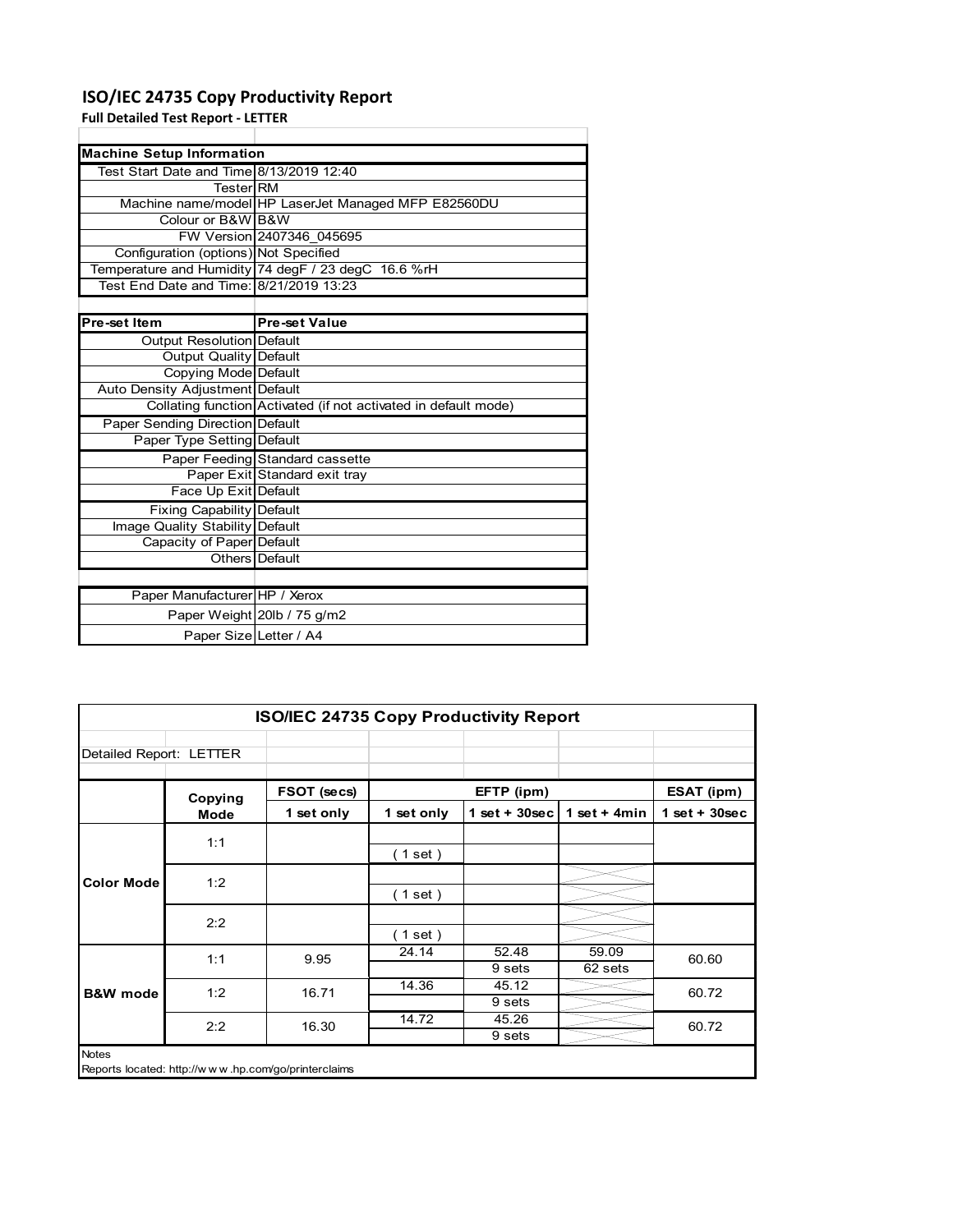#### **ISO/IEC 24735 Copy Productivity Report**

Paper Size Letter / A4

**Full Detailed Test Report ‐ LETTER**

| <b>Machine Setup Information</b>             |                                                                 |
|----------------------------------------------|-----------------------------------------------------------------|
| Test Start Date and Time 8/13/2019 12:40     |                                                                 |
| TesterIRM                                    |                                                                 |
|                                              | Machine name/model HP LaserJet Managed MFP E82560DU             |
| Colour or B&W B&W                            |                                                                 |
|                                              | FW Version 2407346 045695                                       |
| <b>Configuration (options) Not Specified</b> |                                                                 |
|                                              | Temperature and Humidity 74 degF / 23 degC 16.6 %rH             |
| Test End Date and Time: 8/21/2019 13:23      |                                                                 |
|                                              |                                                                 |
| Pre-set Item                                 | <b>Pre-set Value</b>                                            |
| Output Resolution Default                    |                                                                 |
| Output Quality Default                       |                                                                 |
| Copying Mode Default                         |                                                                 |
| Auto Density Adjustment Default              |                                                                 |
|                                              | Collating function Activated (if not activated in default mode) |
| <b>Paper Sending Direction Default</b>       |                                                                 |
| Paper Type Setting Default                   |                                                                 |
|                                              | Paper Feeding Standard cassette                                 |
|                                              | Paper Exit Standard exit tray                                   |
| Face Up Exit Default                         |                                                                 |
| <b>Fixing Capability Default</b>             |                                                                 |
| Image Quality Stability Default              |                                                                 |
| Capacity of Paper Default                    |                                                                 |
|                                              | Others   Default                                                |
|                                              |                                                                 |
| Paper Manufacturer HP / Xerox                |                                                                 |
|                                              | Paper Weight 20lb / 75 g/m2                                     |

|                         | ISO/IEC 24735 Copy Productivity Report              |             |            |                  |                  |                 |
|-------------------------|-----------------------------------------------------|-------------|------------|------------------|------------------|-----------------|
| Detailed Report: LETTER |                                                     |             |            |                  |                  |                 |
|                         | Copying                                             | FSOT (secs) |            | EFTP (ipm)       |                  | ESAT (ipm)      |
|                         | <b>Mode</b>                                         | 1 set only  | 1 set only | 1 set + $30$ sec | 1 set + $4min$   | $1$ set + 30sec |
|                         | 1:1                                                 |             | (1 set)    |                  |                  |                 |
| <b>Color Mode</b>       | 1:2                                                 |             | (1 set)    |                  |                  |                 |
|                         | 2:2                                                 |             | (1 set)    |                  |                  |                 |
|                         | 1:1                                                 | 9.95        | 24.14      | 52.48<br>9 sets  | 59.09<br>62 sets | 60.60           |
| <b>B&amp;W</b> mode     | 1:2                                                 | 16.71       | 14.36      | 45.12<br>9 sets  |                  | 60.72           |
|                         | 2:2                                                 | 16.30       | 14.72      | 45.26<br>9 sets  |                  | 60.72           |
| <b>Notes</b>            | Reports located: http://www.hp.com/go/printerclaims |             |            |                  |                  |                 |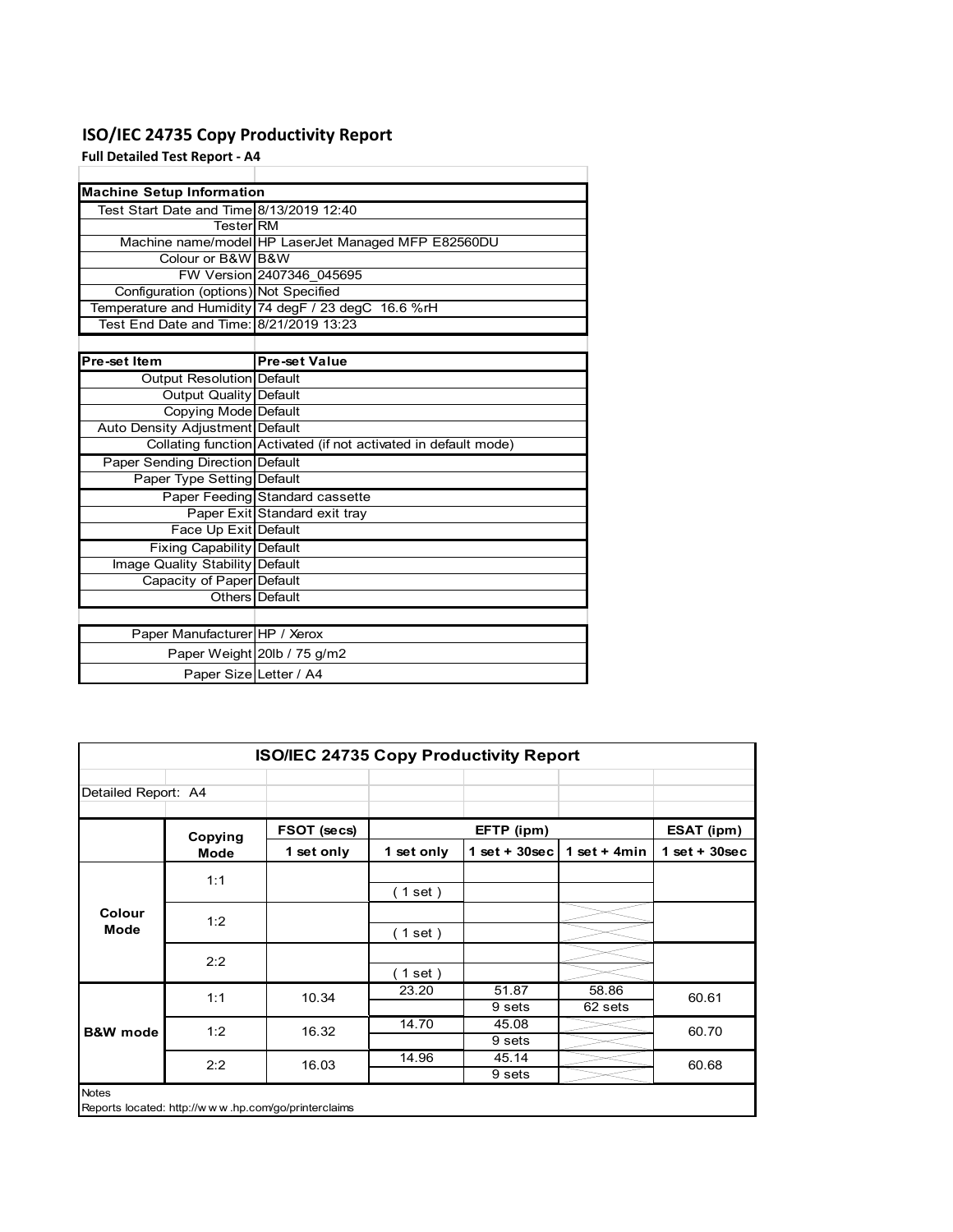### **ISO/IEC 24735 Copy Productivity Report**

**Full Detailed Test Report ‐ A4**

| <b>Machine Setup Information</b>         |                                                                 |
|------------------------------------------|-----------------------------------------------------------------|
| Test Start Date and Time 8/13/2019 12:40 |                                                                 |
| TesterIRM                                |                                                                 |
|                                          | Machine name/model HP LaserJet Managed MFP E82560DU             |
| Colour or B&W B&W                        |                                                                 |
|                                          | FW Version 2407346 045695                                       |
| Configuration (options) Not Specified    |                                                                 |
|                                          | Temperature and Humidity 74 degF / 23 degC 16.6 %rH             |
| Test End Date and Time: 8/21/2019 13:23  |                                                                 |
|                                          |                                                                 |
| Pre-set Item                             | <b>Pre-set Value</b>                                            |
| Output Resolution Default                |                                                                 |
| <b>Output Quality Default</b>            |                                                                 |
| Copying Mode Default                     |                                                                 |
| Auto Density Adjustment Default          |                                                                 |
|                                          | Collating function Activated (if not activated in default mode) |
| Paper Sending Direction Default          |                                                                 |
| Paper Type Setting Default               |                                                                 |
|                                          | Paper Feeding Standard cassette                                 |
|                                          | Paper Exit Standard exit tray                                   |
| Face Up Exit Default                     |                                                                 |
| <b>Fixing Capability Default</b>         |                                                                 |
| Image Quality Stability Default          |                                                                 |
| Capacity of Paper Default                |                                                                 |
|                                          | Others   Default                                                |
|                                          |                                                                 |
| Paper Manufacturer HP / Xerox            |                                                                 |
|                                          | Paper Weight 20lb / 75 g/m2                                     |
| Paper Size Letter / A4                   |                                                                 |

| ISO/IEC 24735 Copy Productivity Report |             |             |            |                 |                  |                 |  |
|----------------------------------------|-------------|-------------|------------|-----------------|------------------|-----------------|--|
| Detailed Report: A4                    |             |             |            |                 |                  |                 |  |
|                                        | Copying     | FSOT (secs) |            | EFTP (ipm)      |                  | ESAT (ipm)      |  |
|                                        | <b>Mode</b> | 1 set only  | 1 set only | $1$ set + 30sec | 1 set + $4min$   | $1$ set + 30sec |  |
|                                        | 1:1         |             | $1$ set)   |                 |                  |                 |  |
| Colour<br>Mode                         | 1:2         |             | $1$ set)   |                 |                  |                 |  |
|                                        | 2:2         |             | $1$ set)   |                 |                  |                 |  |
|                                        | 1:1         | 10.34       | 23.20      | 51.87<br>9 sets | 58.86<br>62 sets | 60.61           |  |
| <b>B&amp;W</b> mode                    | 1:2         | 16.32       | 14.70      | 45.08<br>9 sets |                  | 60.70           |  |
|                                        | 2:2         | 16.03       | 14.96      | 45.14<br>9 sets |                  | 60.68           |  |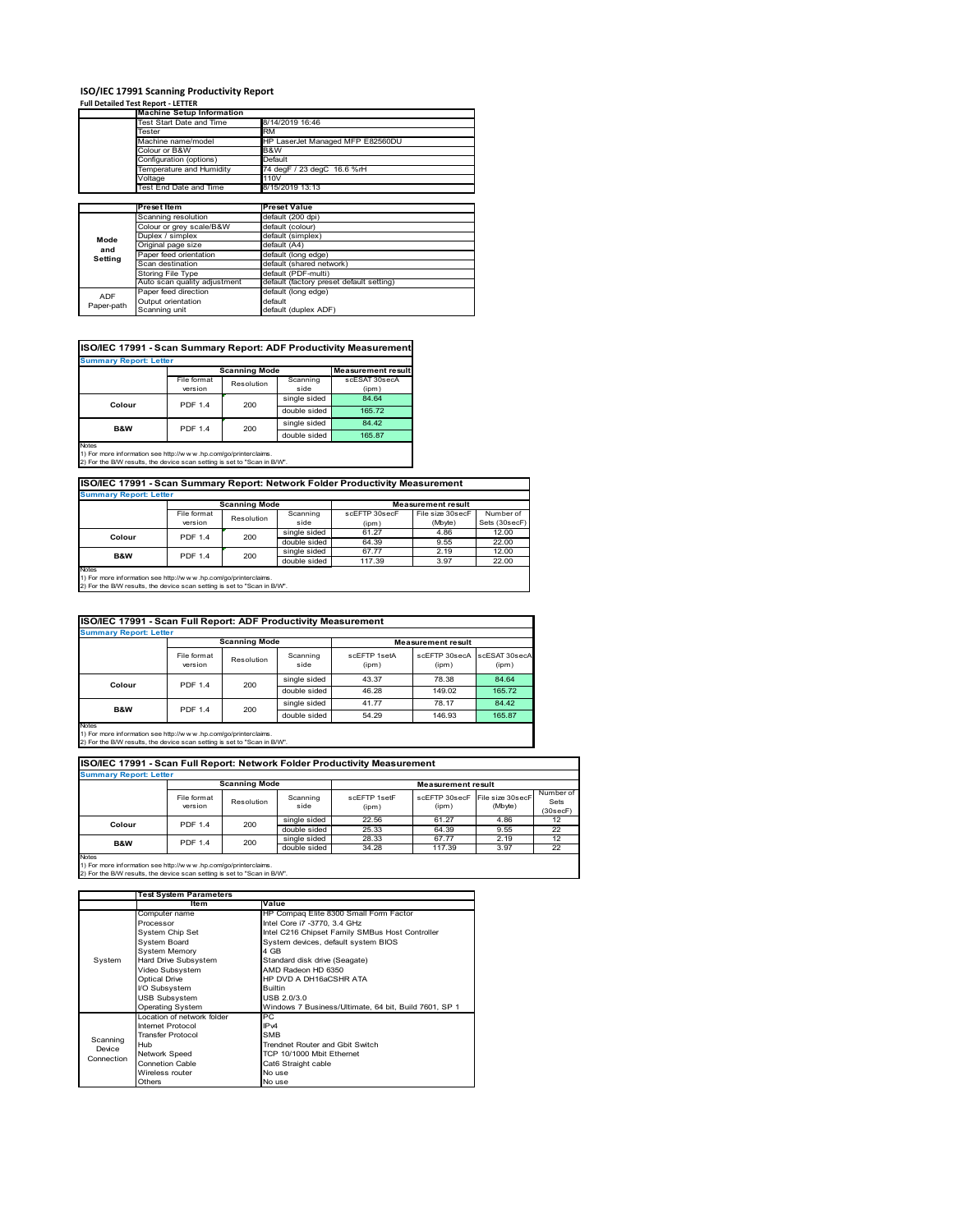# **ISO/IEC 17991 Scanning Productivity Report Full Detailed Test Report ‐ LETTER Machine Setup Information**

|            | <b>Machine Setup Information</b> |                                          |
|------------|----------------------------------|------------------------------------------|
|            | Fest Start Date and Time         | 8/14/2019 16:46                          |
|            | Tester                           | <b>RM</b>                                |
|            | Machine name/model               | HP LaserJet Managed MFP E82560DU         |
|            | Colour or B&W                    | B&W                                      |
|            | Configuration (options)          | Default                                  |
|            | Temperature and Humidity         | 74 degF / 23 degC 16.6 %rH               |
|            | Voltage                          | 110V                                     |
|            | Test End Date and Time           | 8/15/2019 13:13                          |
|            |                                  |                                          |
|            | <b>Preset Item</b>               | <b>Preset Value</b>                      |
|            | Scanning resolution              | default (200 dpi)                        |
|            | Colour or grey scale/B&W         | default (colour)                         |
| Mode       | Duplex / simplex                 | default (simplex)                        |
| and        | Original page size               | default (A4)                             |
|            | Paper feed orientation           | default (long edge)                      |
| Setting    | Scan destination                 | default (shared network)                 |
|            | <b>Storing File Type</b>         | default (PDF-multi)                      |
|            | Auto scan quality adjustment     | default (factory preset default setting) |
|            | Paper feed direction             | default (long edge)                      |
| <b>ADF</b> | Output orientation               | default                                  |
| Paper-path | Scanning unit                    | default (duplex ADF)                     |

| ISO/IEC 17991 - Scan Summary Report: ADF Productivity Measurement |                |                                                   |              |               |  |  |
|-------------------------------------------------------------------|----------------|---------------------------------------------------|--------------|---------------|--|--|
| <b>Summary Report: Letter</b>                                     |                |                                                   |              |               |  |  |
|                                                                   |                | <b>Scanning Mode</b><br><b>Measurement result</b> |              |               |  |  |
|                                                                   | File format    | Resolution                                        | Scanning     | scESAT 30secA |  |  |
|                                                                   | version        |                                                   | side         | (ipm)         |  |  |
| Colour                                                            | <b>PDF 1.4</b> | 200                                               | single sided | 84.64         |  |  |
|                                                                   |                |                                                   | double sided | 165.72        |  |  |
| <b>B&amp;W</b>                                                    | <b>PDF 1.4</b> | 200                                               | single sided | 84.42         |  |  |
|                                                                   |                |                                                   | double sided | 165.87        |  |  |
| <b>Notes</b>                                                      |                |                                                   |              |               |  |  |

Notes 1) For more information see http://w w w .hp.com/go/printerclaims. 2) For the B/W results, the device scan setting is set to "Scan in B/W".

**ISO/IEC 17991 - Scan Summary Report: Network Folder Productivity Measurement**

| <b>Summary Report: Letter</b> |                      |            |              |                           |                  |               |
|-------------------------------|----------------------|------------|--------------|---------------------------|------------------|---------------|
|                               | <b>Scanning Mode</b> |            |              | <b>Measurement result</b> |                  |               |
|                               | File format          | Resolution | Scanning     | scEFTP 30secF             | File size 30secF | Number of     |
|                               | version              |            | side         | (ipm)                     | (Mbyte)          | Sets (30secF) |
| Colour                        | <b>PDF 1.4</b>       | 200        | single sided | 61.27                     | 4.86             | 12.00         |
|                               |                      |            | double sided | 64.39                     | 9.55             | 22.00         |
| B&W                           | <b>PDF 1.4</b>       | 200        | single sided | 67.77                     | 2.19             | 12.00         |
|                               |                      |            | double sided | 117.39                    | 3.97             | 22.00         |
| <b>Notes</b>                  |                      |            |              |                           |                  |               |

┓

Notes 1) For more information see http://w w w .hp.com/go/printerclaims. 2) For the B/W results, the device scan setting is set to "Scan in B/W".

|              | ISO/IEC 17991 - Scan Full Report: ADF Productivity Measurement |                      |                  |                       |                           |                        |  |
|--------------|----------------------------------------------------------------|----------------------|------------------|-----------------------|---------------------------|------------------------|--|
|              | <b>Summary Report: Letter</b>                                  |                      |                  |                       |                           |                        |  |
|              |                                                                | <b>Scanning Mode</b> |                  |                       | <b>Measurement result</b> |                        |  |
|              | File format<br>version                                         | Resolution           | Scanning<br>side | scEFTP 1setA<br>(ipm) | scEFTP 30secA<br>(ipm)    | scESAT 30secA<br>(ipm) |  |
| Colour       | <b>PDF 1.4</b>                                                 | 200                  | single sided     | 43.37                 | 78.38                     | 84.64                  |  |
|              |                                                                |                      | double sided     | 46.28                 | 149.02                    | 165.72                 |  |
| B&W          | <b>PDF 1.4</b>                                                 | 200                  | single sided     | 41.77                 | 78.17                     | 84.42                  |  |
|              |                                                                |                      | double sided     | 54.29                 | 146.93                    | 165.87                 |  |
| <b>Notes</b> |                                                                |                      |                  |                       |                           |                        |  |

Notes 1) For more information see http://w w w .hp.com/go/printerclaims. 2) For the B/W results, the device scan setting is set to "Scan in B/W".

| ISO/IEC 17991 - Scan Full Report: Network Folder Productivity Measurement |                        |              |                  |                           |                        |                             |                               |
|---------------------------------------------------------------------------|------------------------|--------------|------------------|---------------------------|------------------------|-----------------------------|-------------------------------|
| <b>Summary Report: Letter</b>                                             |                        |              |                  |                           |                        |                             |                               |
|                                                                           | <b>Scanning Mode</b>   |              |                  | <b>Measurement result</b> |                        |                             |                               |
|                                                                           | File format<br>version | Resolution   | Scanning<br>side | scEETP 1setE<br>(ipm)     | scEFTP 30secF<br>(ipm) | File size 30secF<br>(Mbyte) | Number of<br>Sets<br>(30secF) |
| Colour                                                                    | PDF 1.4                | 200          | single sided     | 22.56                     | 61.27                  | 4.86                        | 12                            |
|                                                                           |                        |              | double sided     | 25.33                     | 64.39                  | 9.55                        | 22                            |
| <b>B&amp;W</b>                                                            | 200<br><b>PDF 1.4</b>  | single sided | 28.33            | 67.77                     | 2.19                   | 12                          |                               |
|                                                                           |                        |              | double sided     | 34.28                     | 117.39                 | 3.97                        | 22                            |
| <b>Notes</b>                                                              |                        |              |                  |                           |                        |                             |                               |

|            | <b>Test System Parameters</b> |                                                       |  |  |
|------------|-------------------------------|-------------------------------------------------------|--|--|
|            | Item                          | Value                                                 |  |  |
|            | Computer name                 | HP Compaq Elite 8300 Small Form Factor                |  |  |
|            | Processor                     | Intel Core i7 -3770, 3.4 GHz                          |  |  |
|            | System Chip Set               | Intel C216 Chipset Family SMBus Host Controller       |  |  |
|            | <b>System Board</b>           | System devices, default system BIOS                   |  |  |
|            | <b>System Memory</b>          | 4 GB                                                  |  |  |
| System     | Hard Drive Subsystem          | Standard disk drive (Seagate)                         |  |  |
|            | Video Subsystem               | AMD Radeon HD 6350                                    |  |  |
|            | Optical Drive                 | HP DVD A DH16aCSHR ATA                                |  |  |
|            | I/O Subsystem                 | <b>Builtin</b>                                        |  |  |
|            | <b>USB Subsystem</b>          | USB 2.0/3.0                                           |  |  |
|            | Operating System              | Windows 7 Business/Ultimate, 64 bit, Build 7601, SP 1 |  |  |
|            | I ocation of network folder   | PC                                                    |  |  |
|            | Internet Protocol             | IP <sub>v4</sub>                                      |  |  |
| Scanning   | <b>Transfer Protocol</b>      | <b>SMB</b>                                            |  |  |
| Device     | Hub                           | Trendnet Router and Gbit Switch                       |  |  |
| Connection | Network Speed                 | TCP 10/1000 Mbit Ethernet                             |  |  |
|            | <b>Connetion Cable</b>        | Cat6 Straight cable                                   |  |  |
|            | Wireless router               | No use                                                |  |  |
|            | Others                        | No use                                                |  |  |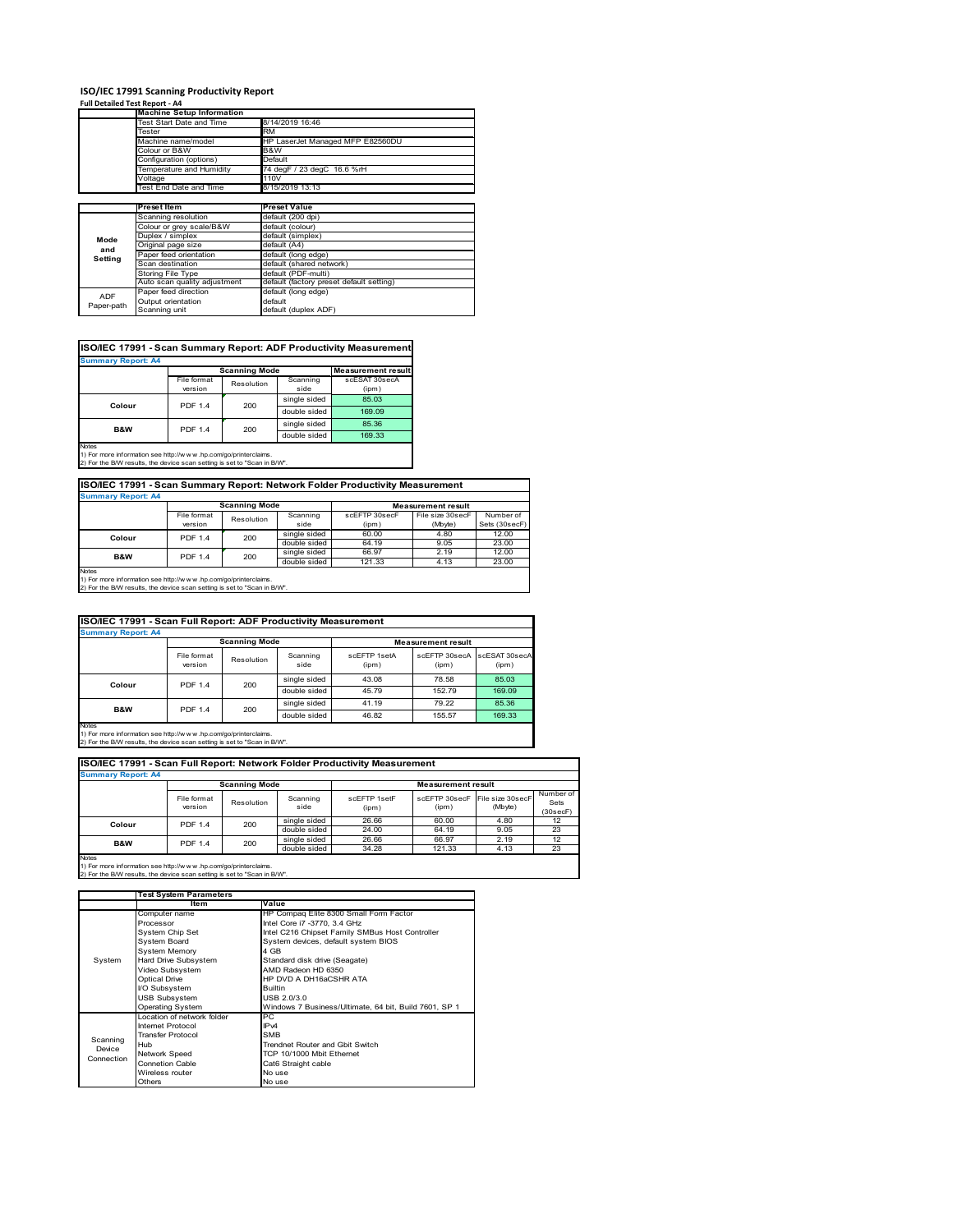#### **ISO/IEC 17991 Scanning Productivity Report**

**Full Detailed Test Report ‐ A4**

|            | <b>Machine Setup Information</b> |                                          |  |  |  |
|------------|----------------------------------|------------------------------------------|--|--|--|
|            | Test Start Date and Time         | 8/14/2019 16:46                          |  |  |  |
|            | Tester                           | <b>RM</b>                                |  |  |  |
|            | Machine name/model               | HP LaserJet Managed MFP E82560DU         |  |  |  |
|            | Colour or B&W                    | B&W                                      |  |  |  |
|            | Configuration (options)          | Default                                  |  |  |  |
|            | Temperature and Humidity         | 74 degF / 23 degC 16.6 %rH               |  |  |  |
|            | Voltage                          | 110V                                     |  |  |  |
|            | Test End Date and Time           | 8/15/2019 13:13                          |  |  |  |
|            |                                  |                                          |  |  |  |
|            | <b>Preset Item</b>               | <b>Preset Value</b>                      |  |  |  |
|            | Scanning resolution              | default (200 dpi)                        |  |  |  |
|            | Colour or grey scale/B&W         | default (colour)                         |  |  |  |
| Mode       | Duplex / simplex                 | default (simplex)                        |  |  |  |
| and        | Original page size               | default (A4)                             |  |  |  |
|            | Paper feed orientation           | default (long edge)                      |  |  |  |
| Setting    | Scan destination                 | default (shared network)                 |  |  |  |
|            | Storing File Type                | default (PDF-multi)                      |  |  |  |
|            | Auto scan quality adjustment     | default (factory preset default setting) |  |  |  |
| <b>ADF</b> | Paper feed direction             | default (long edge)                      |  |  |  |
|            | Output orientation               | default                                  |  |  |  |
| Paper-path | Scanning unit                    | default (duplex ADF)                     |  |  |  |

| ISO/IEC 17991 - Scan Summary Report: ADF Productivity Measurement |                |                      |              |                           |  |  |
|-------------------------------------------------------------------|----------------|----------------------|--------------|---------------------------|--|--|
| <b>Summary Report: A4</b>                                         |                |                      |              |                           |  |  |
|                                                                   |                | <b>Scanning Mode</b> |              | <b>Measurement result</b> |  |  |
|                                                                   | File format    | Resolution           |              | scESAT 30secA             |  |  |
|                                                                   | version        |                      | side         | (ipm)                     |  |  |
| Colour                                                            | <b>PDF 1.4</b> | 200                  | single sided | 85.03                     |  |  |
|                                                                   |                |                      | double sided | 169.09                    |  |  |
| <b>B&amp;W</b>                                                    | <b>PDF 1.4</b> | 200                  | single sided | 85.36                     |  |  |
|                                                                   |                |                      | double sided | 169.33                    |  |  |
| Notes                                                             |                |                      |              |                           |  |  |

Notes 1) For more information see http://w w w .hp.com/go/printerclaims. 2) For the B/W results, the device scan setting is set to "Scan in B/W".

**ISO/IEC 17991 - Scan Summary Report: Network Folder Productivity Measurement Summary Report: A4 Measurement result Scanning Mode**

|                | <b>UVAIIIIIIIIIIIIII</b> |            |              |               |                  |               |  |
|----------------|--------------------------|------------|--------------|---------------|------------------|---------------|--|
|                | File format              | Resolution | Scanning     | scEFTP 30secF | File size 30secF | Number of     |  |
|                | version                  |            | side         | (ipm)         | (Mbyte)          | Sets (30secF) |  |
| Colour         | <b>PDF 1.4</b>           | 200        | single sided | 60.00         | 4.80             | 12.00         |  |
|                |                          |            | double sided | 64.19         | 9.05             | 23.00         |  |
| <b>B&amp;W</b> | <b>PDF 1.4</b>           | 200        | single sided | 66.97         | 2.19             | 12.00         |  |
|                |                          |            | double sided | 121.33        | 4.13             | 23.00         |  |
| <b>Notes</b>   |                          |            |              |               |                  |               |  |

Notes 1) For more information see http://w w w .hp.com/go/printerclaims. 2) For the B/W results, the device scan setting is set to "Scan in B/W".

|                           | ISO/IEC 17991 - Scan Full Report: ADF Productivity Measurement |                      |                  |                       |                           |                        |  |  |
|---------------------------|----------------------------------------------------------------|----------------------|------------------|-----------------------|---------------------------|------------------------|--|--|
| <b>Summary Report: A4</b> |                                                                |                      |                  |                       |                           |                        |  |  |
|                           |                                                                | <b>Scanning Mode</b> |                  |                       | <b>Measurement result</b> |                        |  |  |
|                           | File format<br>version                                         | Resolution           | Scanning<br>side | scFFTP 1setA<br>(ipm) | scEFTP 30secA<br>(ipm)    | scESAT 30secA<br>(ipm) |  |  |
| Colour                    | <b>PDF 1.4</b><br>200                                          |                      | single sided     | 43.08                 | 78.58                     | 85.03                  |  |  |
|                           |                                                                |                      | double sided     | 45.79                 | 152.79                    | 169.09                 |  |  |
| <b>B&amp;W</b>            | <b>PDF 1.4</b>                                                 | 200                  | single sided     | 41.19                 | 79.22                     | 85.36                  |  |  |
|                           |                                                                |                      | double sided     | 46.82                 | 155.57                    | 169.33                 |  |  |
| Notes                     |                                                                |                      |                  |                       |                           |                        |  |  |

Notes 1) For more information see http://w w w .hp.com/go/printerclaims. 2) For the B/W results, the device scan setting is set to "Scan in B/W".

File format le format Resolution Scanning<br>
version Resolution side scEFTP 1setF (ipm) scEFTP 30secF (ipm) File size 30secF (Mbyte) Number of Sets (30secF) single sided 26.66 60.00 4.80 12<br>double sided 24.00 64.19 9.05 23 double sided 24.00 64.19 9.05 23<br>
single sided 26.66 66.97 2.19 12<br>
double sided 34.28 121.33 4.13 23 single sided 26.66 66.97 2.19 12 double sided 34.28 121.33 4.13 23 **Scanning Mode Measurement result Colour** PDF 1.4 200 **B&W** PDF 1.4 200 **Summary Report: A4 ISO/IEC 17991 - Scan Full Report: Network Folder Productivity Measurement**

|            | <b>Test System Parameters</b> |                                                       |  |  |
|------------|-------------------------------|-------------------------------------------------------|--|--|
|            | Item                          | Value                                                 |  |  |
|            | Computer name                 | HP Compaq Elite 8300 Small Form Factor                |  |  |
|            | Processor                     | Intel Core i7 -3770, 3.4 GHz                          |  |  |
|            | System Chip Set               | Intel C216 Chipset Family SMBus Host Controller       |  |  |
|            | <b>System Board</b>           | System devices, default system BIOS                   |  |  |
|            | <b>System Memory</b>          | 4 GB                                                  |  |  |
| System     | Hard Drive Subsystem          | Standard disk drive (Seagate)                         |  |  |
|            | Video Subsystem               | AMD Radeon HD 6350                                    |  |  |
|            | <b>Optical Drive</b>          | HP DVD A DH16aCSHR ATA                                |  |  |
|            | I/O Subsystem                 | <b>Builtin</b>                                        |  |  |
|            | <b>USB Subsystem</b>          | USB 2.0/3.0                                           |  |  |
|            | <b>Operating System</b>       | Windows 7 Business/Ultimate, 64 bit, Build 7601, SP 1 |  |  |
|            | I ocation of network folder   | PC.                                                   |  |  |
|            | Internet Protocol             | IP <sub>v4</sub>                                      |  |  |
| Scanning   | <b>Transfer Protocol</b>      | <b>SMB</b>                                            |  |  |
| Device     | Hub                           | Trendnet Router and Gbit Switch                       |  |  |
| Connection | Network Speed                 | TCP 10/1000 Mbit Ethernet                             |  |  |
|            | <b>Connetion Cable</b>        | Cat6 Straight cable                                   |  |  |
|            | Wireless router               | No use                                                |  |  |
|            | Others                        | No use                                                |  |  |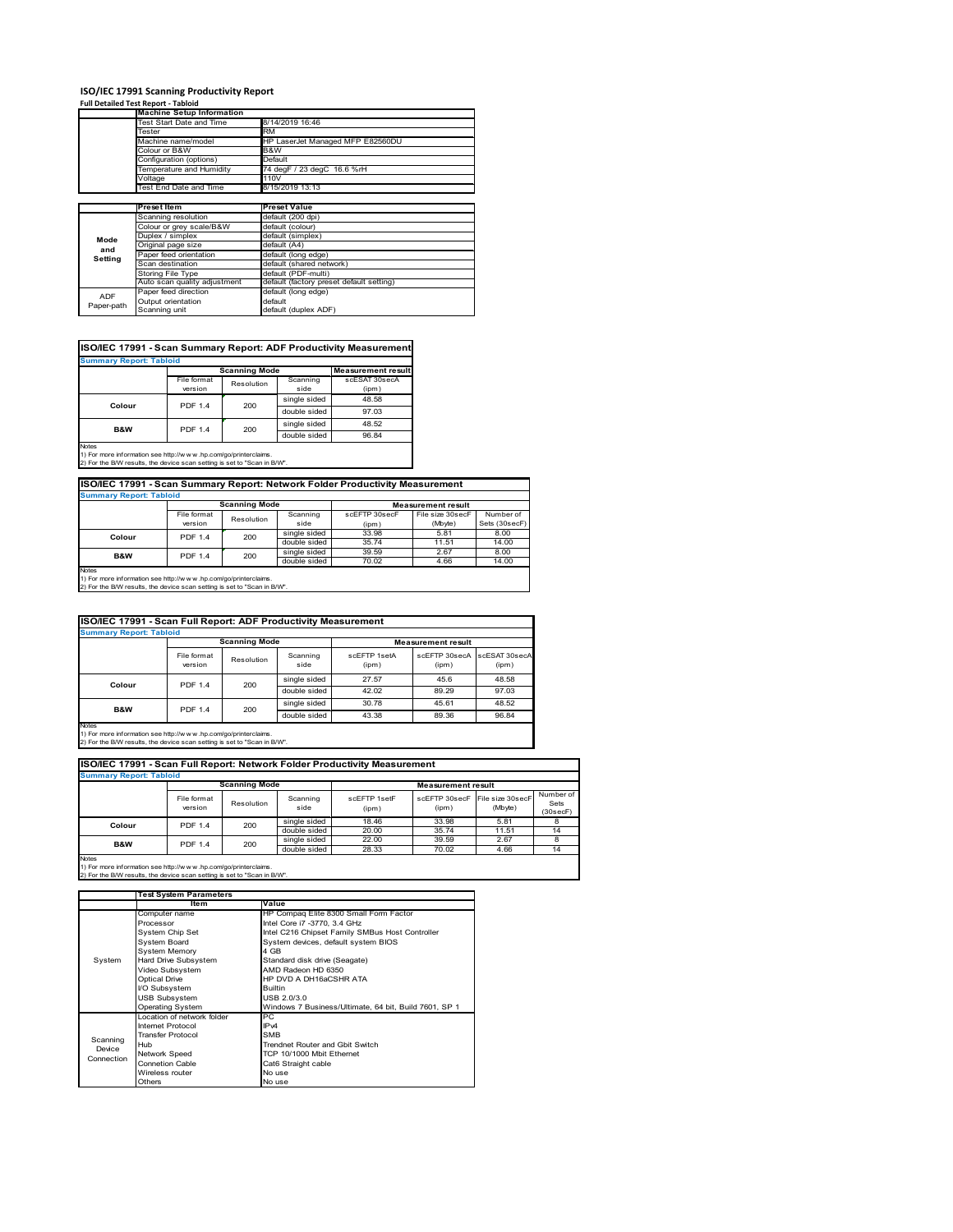# **ISO/IEC 17991 Scanning Productivity Report Full Detailed Test Report ‐ Tabloid Machine Setup Information**

|            | <b>Machine Setup Information</b> |                                          |  |  |  |  |
|------------|----------------------------------|------------------------------------------|--|--|--|--|
|            | Test Start Date and Time         | 8/14/2019 16:46                          |  |  |  |  |
|            | Tester                           | <b>RM</b>                                |  |  |  |  |
|            | Machine name/model               | HP LaserJet Managed MFP E82560DU         |  |  |  |  |
|            | Colour or B&W                    | B&W                                      |  |  |  |  |
|            | Configuration (options)          | Default                                  |  |  |  |  |
|            | Temperature and Humidity         | 74 degF / 23 degC 16.6 %rH               |  |  |  |  |
|            | Voltage                          | 110V                                     |  |  |  |  |
|            | Test End Date and Time           | 8/15/2019 13:13                          |  |  |  |  |
|            |                                  |                                          |  |  |  |  |
|            | Preset Item                      | <b>Preset Value</b>                      |  |  |  |  |
|            | Scanning resolution              | default (200 dpi)                        |  |  |  |  |
|            | Colour or grey scale/B&W         | default (colour)                         |  |  |  |  |
| Mode       | Duplex / simplex                 | default (simplex)                        |  |  |  |  |
|            | Original page size               | default (A4)                             |  |  |  |  |
| and        | Paper feed orientation           | default (long edge)                      |  |  |  |  |
| Setting    | Scan destination                 | default (shared network)                 |  |  |  |  |
|            | <b>Storing File Type</b>         | default (PDF-multi)                      |  |  |  |  |
|            | Auto scan quality adjustment     | default (factory preset default setting) |  |  |  |  |
| <b>ADF</b> | Paper feed direction             | default (long edge)                      |  |  |  |  |
|            | Output orientation               | default                                  |  |  |  |  |
| Paper-path | Scanning unit                    | default (duplex ADF)                     |  |  |  |  |

| ISO/IEC 17991 - Scan Summary Report: ADF Productivity Measurement |                |                      |              |                           |  |  |  |
|-------------------------------------------------------------------|----------------|----------------------|--------------|---------------------------|--|--|--|
| <b>Summary Report: Tabloid</b>                                    |                |                      |              |                           |  |  |  |
|                                                                   |                | <b>Scanning Mode</b> |              | <b>Measurement result</b> |  |  |  |
|                                                                   | File format    | Resolution           |              | scESAT 30secA             |  |  |  |
|                                                                   | version        |                      | side         | (ipm)                     |  |  |  |
|                                                                   | <b>PDF 1.4</b> | 200                  | single sided | 48.58                     |  |  |  |
| Colour                                                            |                |                      | double sided | 97.03                     |  |  |  |
| B&W                                                               | <b>PDF 1.4</b> | 200                  | single sided | 48.52                     |  |  |  |
|                                                                   |                |                      | double sided | 96.84                     |  |  |  |
| <b>Notes</b>                                                      |                |                      |              |                           |  |  |  |

1) For more information see http://w w w .hp.com/go/printerclaims. 2) For the B/W results, the device scan setting is set to "Scan in B/W".

| ISO/IEC 17991 - Scan Summary Report: Network Folder Productivity Measurement |                                  |            |                  |                        |                             |                            |
|------------------------------------------------------------------------------|----------------------------------|------------|------------------|------------------------|-----------------------------|----------------------------|
| <b>Summary Report: Tabloid</b>                                               |                                  |            |                  |                        |                             |                            |
| <b>Scanning Mode</b><br><b>Measurement result</b>                            |                                  |            |                  |                        |                             |                            |
|                                                                              | File format<br>version           | Resolution | Scanning<br>side | scEFTP 30secF<br>(ipm) | File size 30secF<br>(Mbyte) | Number of<br>Sets (30secF) |
| Colour                                                                       | <b>PDF 1.4</b>                   | 200        | single sided     | 33.98                  | 5.81                        | 8.00                       |
|                                                                              |                                  |            | double sided     | 35.74                  | 11.51                       | 14.00                      |
|                                                                              | <b>PDF 1.4</b><br><b>B&amp;W</b> | 200        | single sided     | 39.59                  | 2.67                        | 8.00                       |
|                                                                              |                                  |            | double sided     | 70.02                  | 4.66                        | 14.00                      |
| Motor                                                                        |                                  |            |                  |                        |                             |                            |

Notes 1) For more information see http://w w w .hp.com/go/printerclaims. 2) For the B/W results, the device scan setting is set to "Scan in B/W".

| ISO/IEC 17991 - Scan Full Report: ADF Productivity Measurement                                                                                                 |                        |                      |                  |                       |                           |                        |
|----------------------------------------------------------------------------------------------------------------------------------------------------------------|------------------------|----------------------|------------------|-----------------------|---------------------------|------------------------|
| <b>Summary Report: Tabloid</b>                                                                                                                                 |                        |                      |                  |                       |                           |                        |
|                                                                                                                                                                |                        | <b>Scanning Mode</b> |                  |                       | <b>Measurement result</b> |                        |
|                                                                                                                                                                | File format<br>version | Resolution           | Scanning<br>side | scFFTP 1setA<br>(ipm) | scEETP 30secA<br>(ipm)    | scESAT 30secA<br>(ipm) |
|                                                                                                                                                                | <b>PDF 1.4</b>         | 200                  | single sided     | 27.57                 | 45.6                      | 48.58                  |
| Colour                                                                                                                                                         |                        |                      | double sided     | 42.02                 | 89.29                     | 97.03                  |
| <b>B&amp;W</b>                                                                                                                                                 | <b>PDF 1.4</b>         |                      | single sided     | 30.78                 | 45.61                     | 48.52                  |
|                                                                                                                                                                |                        | 200                  | double sided     | 43.38                 | 89.36                     | 96.84                  |
| <b>Notes</b><br>1) For more information see http://w w w .hp.com/go/printerclaims.<br>2) For the B/W results, the device scan setting is set to "Scan in B/W". |                        |                      |                  |                       |                           |                        |

| ISO/IEC 17991 - Scan Full Report: Network Folder Productivity Measurement<br><b>Summary Report: Tabloid</b> |                        |                      |                  |                       |                           |                                           |                               |       |       |    |
|-------------------------------------------------------------------------------------------------------------|------------------------|----------------------|------------------|-----------------------|---------------------------|-------------------------------------------|-------------------------------|-------|-------|----|
|                                                                                                             |                        | <b>Scanning Mode</b> |                  |                       | <b>Measurement result</b> |                                           |                               |       |       |    |
|                                                                                                             | File format<br>version | Resolution           | Scanning<br>side | scFFTP 1setF<br>(ipm) | (ipm)                     | scEFTP 30secF File size 30secF<br>(Mbyte) | Number of<br>Sets<br>(30secF) |       |       |    |
| Colour                                                                                                      | <b>PDF 1.4</b>         | 200                  | single sided     | 18.46                 | 33.98                     | 5.81                                      |                               |       |       |    |
|                                                                                                             |                        |                      |                  |                       |                           | double sided                              | 20.00                         | 35.74 | 11.51 | 14 |
| <b>B&amp;W</b>                                                                                              | <b>PDF 1.4</b>         | 200                  | single sided     | 22.00                 | 39.59                     | 2.67                                      | 8                             |       |       |    |
|                                                                                                             |                        |                      | double sided     | 28.33                 | 70.02                     | 4.66                                      | 14                            |       |       |    |
| Notes                                                                                                       |                        |                      |                  |                       |                           |                                           |                               |       |       |    |

|            | <b>Test System Parameters</b> |                                                       |  |  |
|------------|-------------------------------|-------------------------------------------------------|--|--|
|            | Item                          | Value                                                 |  |  |
|            | Computer name                 | HP Compaq Elite 8300 Small Form Factor                |  |  |
|            | Processor                     | Intel Core i7 -3770, 3.4 GHz                          |  |  |
|            | System Chip Set               | Intel C216 Chipset Family SMBus Host Controller       |  |  |
|            | <b>System Board</b>           | System devices, default system BIOS                   |  |  |
|            | <b>System Memory</b>          | 4 GB                                                  |  |  |
| System     | Hard Drive Subsystem          | Standard disk drive (Seagate)                         |  |  |
|            | Video Subsystem               | AMD Radeon HD 6350                                    |  |  |
|            | <b>Optical Drive</b>          | HP DVD A DH16aCSHR ATA                                |  |  |
|            | I/O Subsystem                 | <b>Builtin</b>                                        |  |  |
|            | <b>USB Subsystem</b>          | USB 2.0/3.0                                           |  |  |
|            | <b>Operating System</b>       | Windows 7 Business/Ultimate, 64 bit, Build 7601, SP 1 |  |  |
|            | I ocation of network folder   | PC.                                                   |  |  |
|            | Internet Protocol             | IP <sub>v4</sub>                                      |  |  |
| Scanning   | <b>Transfer Protocol</b>      | <b>SMB</b>                                            |  |  |
| Device     | Hub                           | Trendnet Router and Gbit Switch                       |  |  |
| Connection | Network Speed                 | TCP 10/1000 Mbit Ethernet                             |  |  |
|            | <b>Connetion Cable</b>        | Cat6 Straight cable                                   |  |  |
|            | Wireless router               | No use                                                |  |  |
|            | Others                        | No use                                                |  |  |